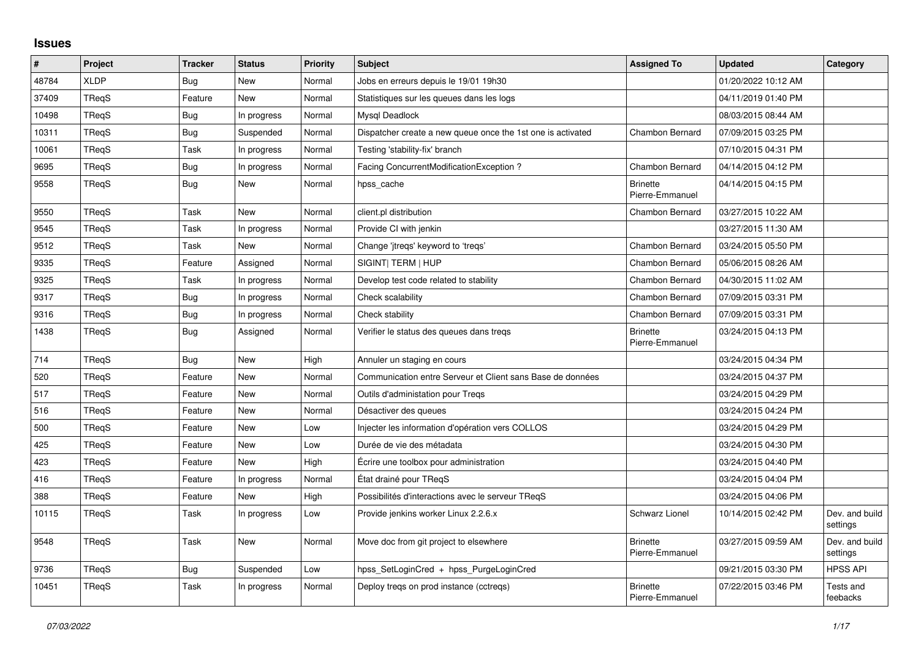## **Issues**

| $\vert$ # | Project      | <b>Tracker</b> | <b>Status</b> | <b>Priority</b> | <b>Subject</b>                                              | <b>Assigned To</b>                 | <b>Updated</b>      | Category                   |
|-----------|--------------|----------------|---------------|-----------------|-------------------------------------------------------------|------------------------------------|---------------------|----------------------------|
| 48784     | <b>XLDP</b>  | <b>Bug</b>     | <b>New</b>    | Normal          | Jobs en erreurs depuis le 19/01 19h30                       |                                    | 01/20/2022 10:12 AM |                            |
| 37409     | TReqS        | Feature        | New           | Normal          | Statistiques sur les queues dans les logs                   |                                    | 04/11/2019 01:40 PM |                            |
| 10498     | TRegS        | <b>Bug</b>     | In progress   | Normal          | Mysql Deadlock                                              |                                    | 08/03/2015 08:44 AM |                            |
| 10311     | TReqS        | <b>Bug</b>     | Suspended     | Normal          | Dispatcher create a new queue once the 1st one is activated | <b>Chambon Bernard</b>             | 07/09/2015 03:25 PM |                            |
| 10061     | TReqS        | Task           | In progress   | Normal          | Testing 'stability-fix' branch                              |                                    | 07/10/2015 04:31 PM |                            |
| 9695      | <b>TRegS</b> | <b>Bug</b>     | In progress   | Normal          | Facing ConcurrentModificationException ?                    | <b>Chambon Bernard</b>             | 04/14/2015 04:12 PM |                            |
| 9558      | TReqS        | <b>Bug</b>     | New           | Normal          | hpss cache                                                  | <b>Brinette</b><br>Pierre-Emmanuel | 04/14/2015 04:15 PM |                            |
| 9550      | <b>TRegS</b> | Task           | <b>New</b>    | Normal          | client.pl distribution                                      | <b>Chambon Bernard</b>             | 03/27/2015 10:22 AM |                            |
| 9545      | <b>TRegS</b> | Task           | In progress   | Normal          | Provide CI with jenkin                                      |                                    | 03/27/2015 11:30 AM |                            |
| 9512      | TReqS        | Task           | New           | Normal          | Change 'jtregs' keyword to 'tregs'                          | <b>Chambon Bernard</b>             | 03/24/2015 05:50 PM |                            |
| 9335      | <b>TRegS</b> | Feature        | Assigned      | Normal          | SIGINT  TERM   HUP                                          | Chambon Bernard                    | 05/06/2015 08:26 AM |                            |
| 9325      | TReqS        | Task           | In progress   | Normal          | Develop test code related to stability                      | Chambon Bernard                    | 04/30/2015 11:02 AM |                            |
| 9317      | TReqS        | Bug            | In progress   | Normal          | Check scalability                                           | Chambon Bernard                    | 07/09/2015 03:31 PM |                            |
| 9316      | <b>TRegS</b> | <b>Bug</b>     | In progress   | Normal          | Check stability                                             | Chambon Bernard                    | 07/09/2015 03:31 PM |                            |
| 1438      | TReqS        | <b>Bug</b>     | Assigned      | Normal          | Verifier le status des queues dans tregs                    | <b>Brinette</b><br>Pierre-Emmanuel | 03/24/2015 04:13 PM |                            |
| 714       | TReqS        | Bug            | New           | High            | Annuler un staging en cours                                 |                                    | 03/24/2015 04:34 PM |                            |
| 520       | <b>TRegS</b> | Feature        | New           | Normal          | Communication entre Serveur et Client sans Base de données  |                                    | 03/24/2015 04:37 PM |                            |
| 517       | TReqS        | Feature        | <b>New</b>    | Normal          | Outils d'administation pour Tregs                           |                                    | 03/24/2015 04:29 PM |                            |
| 516       | TReqS        | Feature        | <b>New</b>    | Normal          | Désactiver des queues                                       |                                    | 03/24/2015 04:24 PM |                            |
| 500       | TReqS        | Feature        | New           | Low             | Injecter les information d'opération vers COLLOS            |                                    | 03/24/2015 04:29 PM |                            |
| 425       | <b>TRegS</b> | Feature        | <b>New</b>    | Low             | Durée de vie des métadata                                   |                                    | 03/24/2015 04:30 PM |                            |
| 423       | <b>TRegS</b> | Feature        | <b>New</b>    | High            | Écrire une toolbox pour administration                      |                                    | 03/24/2015 04:40 PM |                            |
| 416       | TReqS        | Feature        | In progress   | Normal          | État drainé pour TRegS                                      |                                    | 03/24/2015 04:04 PM |                            |
| 388       | TReqS        | Feature        | <b>New</b>    | High            | Possibilités d'interactions avec le serveur TRegS           |                                    | 03/24/2015 04:06 PM |                            |
| 10115     | TReqS        | Task           | In progress   | Low             | Provide jenkins worker Linux 2.2.6.x                        | Schwarz Lionel                     | 10/14/2015 02:42 PM | Dev. and build<br>settings |
| 9548      | TReqS        | Task           | <b>New</b>    | Normal          | Move doc from git project to elsewhere                      | <b>Brinette</b><br>Pierre-Emmanuel | 03/27/2015 09:59 AM | Dev. and build<br>settings |
| 9736      | TReqS        | <b>Bug</b>     | Suspended     | Low             | hpss SetLoginCred + hpss PurgeLoginCred                     |                                    | 09/21/2015 03:30 PM | <b>HPSS API</b>            |
| 10451     | TRegS        | Task           | In progress   | Normal          | Deploy tregs on prod instance (cctregs)                     | <b>Brinette</b><br>Pierre-Emmanuel | 07/22/2015 03:46 PM | Tests and<br>feebacks      |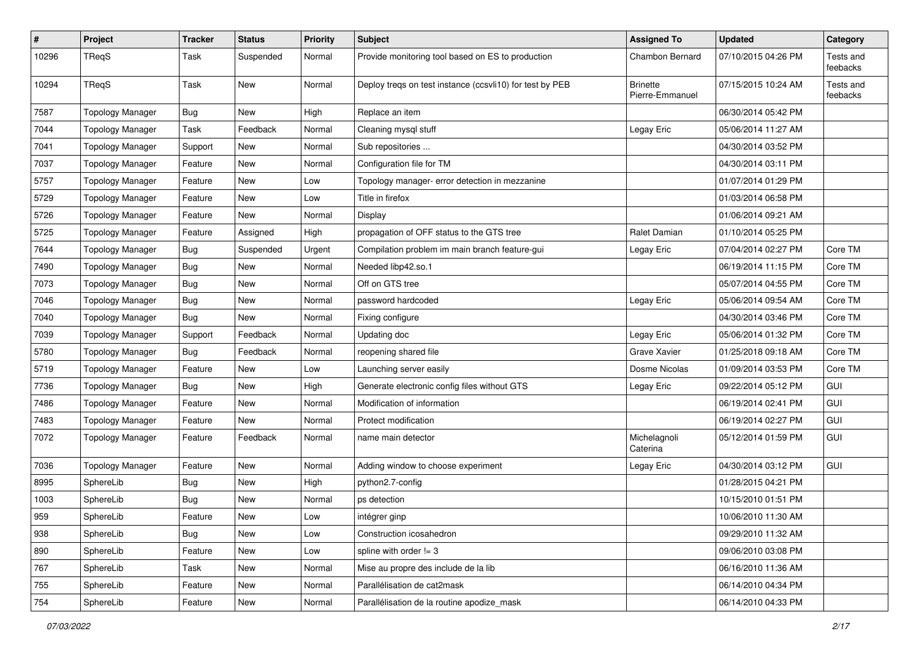| $\#$  | Project                 | <b>Tracker</b> | <b>Status</b> | <b>Priority</b> | <b>Subject</b>                                           | <b>Assigned To</b>                 | <b>Updated</b>      | Category              |
|-------|-------------------------|----------------|---------------|-----------------|----------------------------------------------------------|------------------------------------|---------------------|-----------------------|
| 10296 | <b>TReqS</b>            | Task           | Suspended     | Normal          | Provide monitoring tool based on ES to production        | Chambon Bernard                    | 07/10/2015 04:26 PM | Tests and<br>feebacks |
| 10294 | TReqS                   | Task           | <b>New</b>    | Normal          | Deploy treqs on test instance (ccsvli10) for test by PEB | <b>Brinette</b><br>Pierre-Emmanuel | 07/15/2015 10:24 AM | Tests and<br>feebacks |
| 7587  | <b>Topology Manager</b> | Bug            | <b>New</b>    | High            | Replace an item                                          |                                    | 06/30/2014 05:42 PM |                       |
| 7044  | <b>Topology Manager</b> | Task           | Feedback      | Normal          | Cleaning mysql stuff                                     | Legay Eric                         | 05/06/2014 11:27 AM |                       |
| 7041  | <b>Topology Manager</b> | Support        | New           | Normal          | Sub repositories                                         |                                    | 04/30/2014 03:52 PM |                       |
| 7037  | <b>Topology Manager</b> | Feature        | New           | Normal          | Configuration file for TM                                |                                    | 04/30/2014 03:11 PM |                       |
| 5757  | <b>Topology Manager</b> | Feature        | New           | Low             | Topology manager- error detection in mezzanine           |                                    | 01/07/2014 01:29 PM |                       |
| 5729  | <b>Topology Manager</b> | Feature        | <b>New</b>    | Low             | Title in firefox                                         |                                    | 01/03/2014 06:58 PM |                       |
| 5726  | <b>Topology Manager</b> | Feature        | New           | Normal          | Display                                                  |                                    | 01/06/2014 09:21 AM |                       |
| 5725  | <b>Topology Manager</b> | Feature        | Assigned      | High            | propagation of OFF status to the GTS tree                | Ralet Damian                       | 01/10/2014 05:25 PM |                       |
| 7644  | <b>Topology Manager</b> | <b>Bug</b>     | Suspended     | Urgent          | Compilation problem im main branch feature-gui           | Legay Eric                         | 07/04/2014 02:27 PM | Core TM               |
| 7490  | <b>Topology Manager</b> | <b>Bug</b>     | New           | Normal          | Needed libp42.so.1                                       |                                    | 06/19/2014 11:15 PM | Core TM               |
| 7073  | <b>Topology Manager</b> | <b>Bug</b>     | New           | Normal          | Off on GTS tree                                          |                                    | 05/07/2014 04:55 PM | Core TM               |
| 7046  | <b>Topology Manager</b> | <b>Bug</b>     | New           | Normal          | password hardcoded                                       | Legay Eric                         | 05/06/2014 09:54 AM | Core TM               |
| 7040  | <b>Topology Manager</b> | <b>Bug</b>     | New           | Normal          | Fixing configure                                         |                                    | 04/30/2014 03:46 PM | Core TM               |
| 7039  | <b>Topology Manager</b> | Support        | Feedback      | Normal          | Updating doc                                             | Legay Eric                         | 05/06/2014 01:32 PM | Core TM               |
| 5780  | <b>Topology Manager</b> | <b>Bug</b>     | Feedback      | Normal          | reopening shared file                                    | Grave Xavier                       | 01/25/2018 09:18 AM | Core TM               |
| 5719  | <b>Topology Manager</b> | Feature        | New           | Low             | Launching server easily                                  | Dosme Nicolas                      | 01/09/2014 03:53 PM | Core TM               |
| 7736  | <b>Topology Manager</b> | <b>Bug</b>     | New           | High            | Generate electronic config files without GTS             | Legay Eric                         | 09/22/2014 05:12 PM | <b>GUI</b>            |
| 7486  | <b>Topology Manager</b> | Feature        | New           | Normal          | Modification of information                              |                                    | 06/19/2014 02:41 PM | <b>GUI</b>            |
| 7483  | <b>Topology Manager</b> | Feature        | New           | Normal          | Protect modification                                     |                                    | 06/19/2014 02:27 PM | <b>GUI</b>            |
| 7072  | <b>Topology Manager</b> | Feature        | Feedback      | Normal          | name main detector                                       | Michelagnoli<br>Caterina           | 05/12/2014 01:59 PM | <b>GUI</b>            |
| 7036  | <b>Topology Manager</b> | Feature        | <b>New</b>    | Normal          | Adding window to choose experiment                       | Legay Eric                         | 04/30/2014 03:12 PM | GUI                   |
| 8995  | SphereLib               | <b>Bug</b>     | New           | High            | python2.7-config                                         |                                    | 01/28/2015 04:21 PM |                       |
| 1003  | SphereLib               | <b>Bug</b>     | New           | Normal          | ps detection                                             |                                    | 10/15/2010 01:51 PM |                       |
| 959   | SphereLib               | Feature        | New           | Low             | intégrer ginp                                            |                                    | 10/06/2010 11:30 AM |                       |
| 938   | SphereLib               | <b>Bug</b>     | New           | Low             | Construction icosahedron                                 |                                    | 09/29/2010 11:32 AM |                       |
| 890   | SphereLib               | Feature        | New           | Low             | spline with order $!= 3$                                 |                                    | 09/06/2010 03:08 PM |                       |
| 767   | SphereLib               | Task           | New           | Normal          | Mise au propre des include de la lib                     |                                    | 06/16/2010 11:36 AM |                       |
| 755   | SphereLib               | Feature        | New           | Normal          | Parallélisation de cat2mask                              |                                    | 06/14/2010 04:34 PM |                       |
| 754   | SphereLib               | Feature        | New           | Normal          | Parallélisation de la routine apodize_mask               |                                    | 06/14/2010 04:33 PM |                       |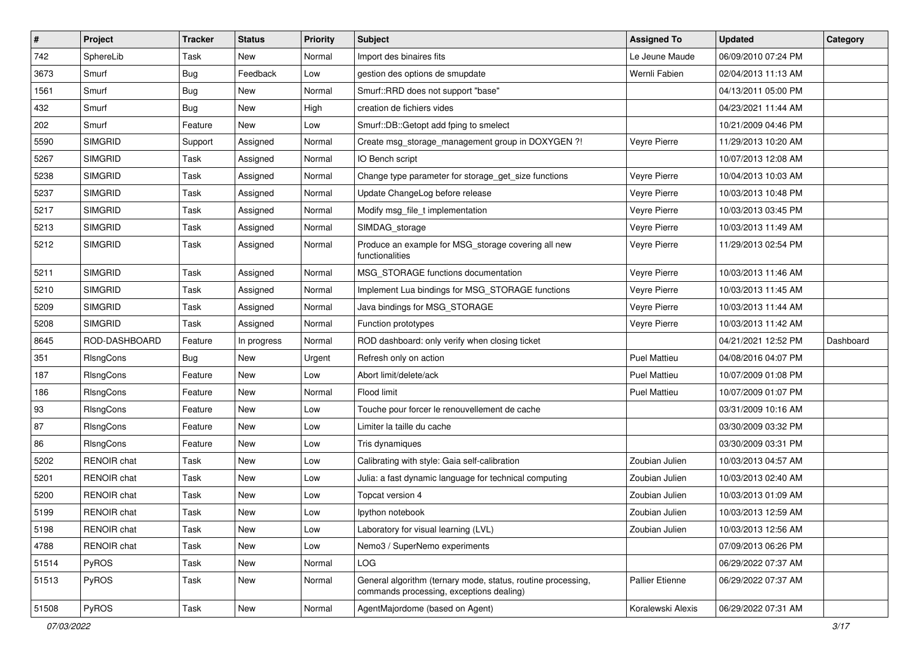| $\sharp$ | Project            | Tracker    | <b>Status</b> | Priority | Subject                                                                                                  | <b>Assigned To</b>  | <b>Updated</b>      | Category  |
|----------|--------------------|------------|---------------|----------|----------------------------------------------------------------------------------------------------------|---------------------|---------------------|-----------|
| 742      | SphereLib          | Task       | New           | Normal   | Import des binaires fits                                                                                 | Le Jeune Maude      | 06/09/2010 07:24 PM |           |
| 3673     | Smurf              | <b>Bug</b> | Feedback      | Low      | gestion des options de smupdate                                                                          | Wernli Fabien       | 02/04/2013 11:13 AM |           |
| 1561     | Smurf              | <b>Bug</b> | <b>New</b>    | Normal   | Smurf::RRD does not support "base"                                                                       |                     | 04/13/2011 05:00 PM |           |
| 432      | Smurf              | Bug        | New           | High     | creation de fichiers vides                                                                               |                     | 04/23/2021 11:44 AM |           |
| 202      | Smurf              | Feature    | New           | Low      | Smurf::DB::Getopt add fping to smelect                                                                   |                     | 10/21/2009 04:46 PM |           |
| 5590     | <b>SIMGRID</b>     | Support    | Assigned      | Normal   | Create msg_storage_management group in DOXYGEN ?!                                                        | Veyre Pierre        | 11/29/2013 10:20 AM |           |
| 5267     | <b>SIMGRID</b>     | Task       | Assigned      | Normal   | IO Bench script                                                                                          |                     | 10/07/2013 12:08 AM |           |
| 5238     | <b>SIMGRID</b>     | Task       | Assigned      | Normal   | Change type parameter for storage_get_size functions                                                     | Veyre Pierre        | 10/04/2013 10:03 AM |           |
| 5237     | <b>SIMGRID</b>     | Task       | Assigned      | Normal   | Update ChangeLog before release                                                                          | Veyre Pierre        | 10/03/2013 10:48 PM |           |
| 5217     | <b>SIMGRID</b>     | Task       | Assigned      | Normal   | Modify msg_file_t implementation                                                                         | Veyre Pierre        | 10/03/2013 03:45 PM |           |
| 5213     | <b>SIMGRID</b>     | Task       | Assigned      | Normal   | SIMDAG_storage                                                                                           | Veyre Pierre        | 10/03/2013 11:49 AM |           |
| 5212     | <b>SIMGRID</b>     | Task       | Assigned      | Normal   | Produce an example for MSG_storage covering all new<br>functionalities                                   | Veyre Pierre        | 11/29/2013 02:54 PM |           |
| 5211     | <b>SIMGRID</b>     | Task       | Assigned      | Normal   | MSG_STORAGE functions documentation                                                                      | Veyre Pierre        | 10/03/2013 11:46 AM |           |
| 5210     | <b>SIMGRID</b>     | Task       | Assigned      | Normal   | Implement Lua bindings for MSG_STORAGE functions                                                         | Veyre Pierre        | 10/03/2013 11:45 AM |           |
| 5209     | <b>SIMGRID</b>     | Task       | Assigned      | Normal   | Java bindings for MSG_STORAGE                                                                            | Veyre Pierre        | 10/03/2013 11:44 AM |           |
| 5208     | <b>SIMGRID</b>     | Task       | Assigned      | Normal   | Function prototypes                                                                                      | Veyre Pierre        | 10/03/2013 11:42 AM |           |
| 8645     | ROD-DASHBOARD      | Feature    | In progress   | Normal   | ROD dashboard: only verify when closing ticket                                                           |                     | 04/21/2021 12:52 PM | Dashboard |
| 351      | RIsngCons          | <b>Bug</b> | New           | Urgent   | Refresh only on action                                                                                   | <b>Puel Mattieu</b> | 04/08/2016 04:07 PM |           |
| 187      | RIsngCons          | Feature    | New           | Low      | Abort limit/delete/ack                                                                                   | <b>Puel Mattieu</b> | 10/07/2009 01:08 PM |           |
| 186      | RIsngCons          | Feature    | New           | Normal   | Flood limit                                                                                              | <b>Puel Mattieu</b> | 10/07/2009 01:07 PM |           |
| 93       | RIsngCons          | Feature    | <b>New</b>    | Low      | Touche pour forcer le renouvellement de cache                                                            |                     | 03/31/2009 10:16 AM |           |
| 87       | RIsngCons          | Feature    | New           | Low      | Limiter la taille du cache                                                                               |                     | 03/30/2009 03:32 PM |           |
| 86       | RIsngCons          | Feature    | New           | Low      | Tris dynamiques                                                                                          |                     | 03/30/2009 03:31 PM |           |
| 5202     | <b>RENOIR chat</b> | Task       | New           | Low      | Calibrating with style: Gaia self-calibration                                                            | Zoubian Julien      | 10/03/2013 04:57 AM |           |
| 5201     | <b>RENOIR</b> chat | Task       | <b>New</b>    | Low      | Julia: a fast dynamic language for technical computing                                                   | Zoubian Julien      | 10/03/2013 02:40 AM |           |
| 5200     | RENOIR chat        | Task       | <b>New</b>    | Low      | Topcat version 4                                                                                         | Zoubian Julien      | 10/03/2013 01:09 AM |           |
| 5199     | <b>RENOIR</b> chat | Task       | New           | Low      | Ipython notebook                                                                                         | Zoubian Julien      | 10/03/2013 12:59 AM |           |
| 5198     | RENOIR chat        | Task       | New           | Low      | Laboratory for visual learning (LVL)                                                                     | Zoubian Julien      | 10/03/2013 12:56 AM |           |
| 4788     | RENOIR chat        | Task       | <b>New</b>    | Low      | Nemo3 / SuperNemo experiments                                                                            |                     | 07/09/2013 06:26 PM |           |
| 51514    | PyROS              | Task       | <b>New</b>    | Normal   | <b>LOG</b>                                                                                               |                     | 06/29/2022 07:37 AM |           |
| 51513    | PyROS              | Task       | New           | Normal   | General algorithm (ternary mode, status, routine processing,<br>commands processing, exceptions dealing) | Pallier Etienne     | 06/29/2022 07:37 AM |           |
| 51508    | PyROS              | Task       | New           | Normal   | AgentMajordome (based on Agent)                                                                          | Koralewski Alexis   | 06/29/2022 07:31 AM |           |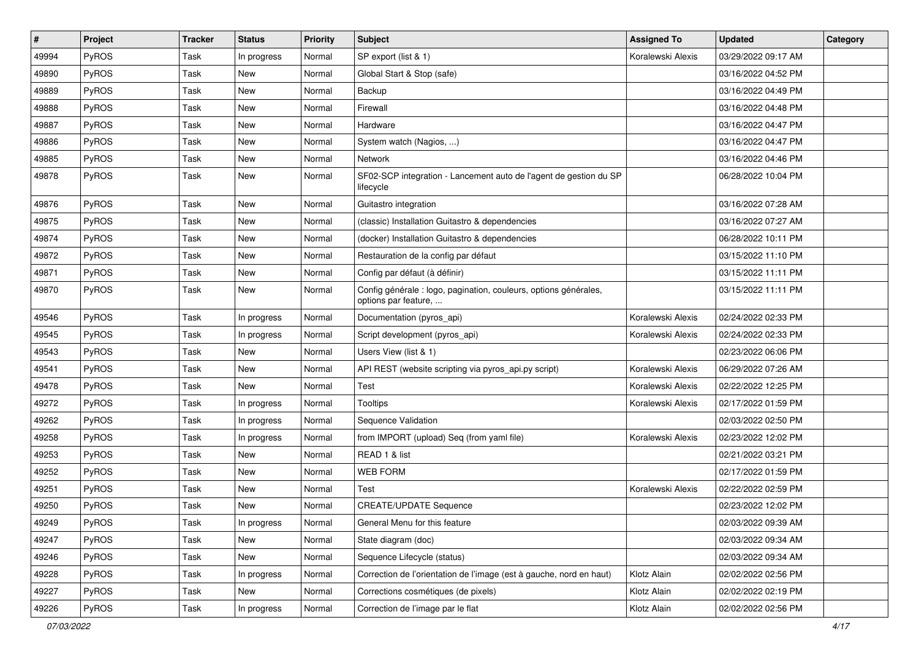| $\vert$ # | Project      | <b>Tracker</b> | <b>Status</b> | <b>Priority</b> | <b>Subject</b>                                                                           | <b>Assigned To</b> | <b>Updated</b>      | Category |
|-----------|--------------|----------------|---------------|-----------------|------------------------------------------------------------------------------------------|--------------------|---------------------|----------|
| 49994     | <b>PyROS</b> | Task           | In progress   | Normal          | SP export (list & 1)                                                                     | Koralewski Alexis  | 03/29/2022 09:17 AM |          |
| 49890     | PyROS        | Task           | <b>New</b>    | Normal          | Global Start & Stop (safe)                                                               |                    | 03/16/2022 04:52 PM |          |
| 49889     | PyROS        | Task           | New           | Normal          | Backup                                                                                   |                    | 03/16/2022 04:49 PM |          |
| 49888     | PyROS        | Task           | New           | Normal          | Firewall                                                                                 |                    | 03/16/2022 04:48 PM |          |
| 49887     | PyROS        | Task           | <b>New</b>    | Normal          | Hardware                                                                                 |                    | 03/16/2022 04:47 PM |          |
| 49886     | <b>PyROS</b> | Task           | New           | Normal          | System watch (Nagios, )                                                                  |                    | 03/16/2022 04:47 PM |          |
| 49885     | PyROS        | Task           | New           | Normal          | Network                                                                                  |                    | 03/16/2022 04:46 PM |          |
| 49878     | PyROS        | Task           | New           | Normal          | SF02-SCP integration - Lancement auto de l'agent de gestion du SP<br>lifecycle           |                    | 06/28/2022 10:04 PM |          |
| 49876     | PyROS        | Task           | <b>New</b>    | Normal          | Guitastro integration                                                                    |                    | 03/16/2022 07:28 AM |          |
| 49875     | PyROS        | Task           | New           | Normal          | (classic) Installation Guitastro & dependencies                                          |                    | 03/16/2022 07:27 AM |          |
| 49874     | PyROS        | Task           | New           | Normal          | (docker) Installation Guitastro & dependencies                                           |                    | 06/28/2022 10:11 PM |          |
| 49872     | PyROS        | Task           | New           | Normal          | Restauration de la config par défaut                                                     |                    | 03/15/2022 11:10 PM |          |
| 49871     | <b>PyROS</b> | Task           | New           | Normal          | Config par défaut (à définir)                                                            |                    | 03/15/2022 11:11 PM |          |
| 49870     | PyROS        | Task           | New           | Normal          | Config générale : logo, pagination, couleurs, options générales,<br>options par feature, |                    | 03/15/2022 11:11 PM |          |
| 49546     | PyROS        | Task           | In progress   | Normal          | Documentation (pyros_api)                                                                | Koralewski Alexis  | 02/24/2022 02:33 PM |          |
| 49545     | PyROS        | Task           | In progress   | Normal          | Script development (pyros_api)                                                           | Koralewski Alexis  | 02/24/2022 02:33 PM |          |
| 49543     | <b>PyROS</b> | Task           | New           | Normal          | Users View (list & 1)                                                                    |                    | 02/23/2022 06:06 PM |          |
| 49541     | PyROS        | Task           | New           | Normal          | API REST (website scripting via pyros_api.py script)                                     | Koralewski Alexis  | 06/29/2022 07:26 AM |          |
| 49478     | PyROS        | Task           | New           | Normal          | Test                                                                                     | Koralewski Alexis  | 02/22/2022 12:25 PM |          |
| 49272     | PyROS        | Task           | In progress   | Normal          | <b>Tooltips</b>                                                                          | Koralewski Alexis  | 02/17/2022 01:59 PM |          |
| 49262     | PyROS        | Task           | In progress   | Normal          | Sequence Validation                                                                      |                    | 02/03/2022 02:50 PM |          |
| 49258     | PyROS        | Task           | In progress   | Normal          | from IMPORT (upload) Seq (from yaml file)                                                | Koralewski Alexis  | 02/23/2022 12:02 PM |          |
| 49253     | PyROS        | Task           | New           | Normal          | READ 1 & list                                                                            |                    | 02/21/2022 03:21 PM |          |
| 49252     | PyROS        | Task           | New           | Normal          | <b>WEB FORM</b>                                                                          |                    | 02/17/2022 01:59 PM |          |
| 49251     | <b>PyROS</b> | Task           | New           | Normal          | Test                                                                                     | Koralewski Alexis  | 02/22/2022 02:59 PM |          |
| 49250     | PyROS        | Task           | <b>New</b>    | Normal          | <b>CREATE/UPDATE Sequence</b>                                                            |                    | 02/23/2022 12:02 PM |          |
| 49249     | PyROS        | Task           | In progress   | Normal          | General Menu for this feature                                                            |                    | 02/03/2022 09:39 AM |          |
| 49247     | PyROS        | Task           | New           | Normal          | State diagram (doc)                                                                      |                    | 02/03/2022 09:34 AM |          |
| 49246     | PyROS        | Task           | New           | Normal          | Sequence Lifecycle (status)                                                              |                    | 02/03/2022 09:34 AM |          |
| 49228     | PyROS        | Task           | In progress   | Normal          | Correction de l'orientation de l'image (est à gauche, nord en haut)                      | Klotz Alain        | 02/02/2022 02:56 PM |          |
| 49227     | PyROS        | Task           | New           | Normal          | Corrections cosmétiques (de pixels)                                                      | Klotz Alain        | 02/02/2022 02:19 PM |          |
| 49226     | PyROS        | Task           | In progress   | Normal          | Correction de l'image par le flat                                                        | Klotz Alain        | 02/02/2022 02:56 PM |          |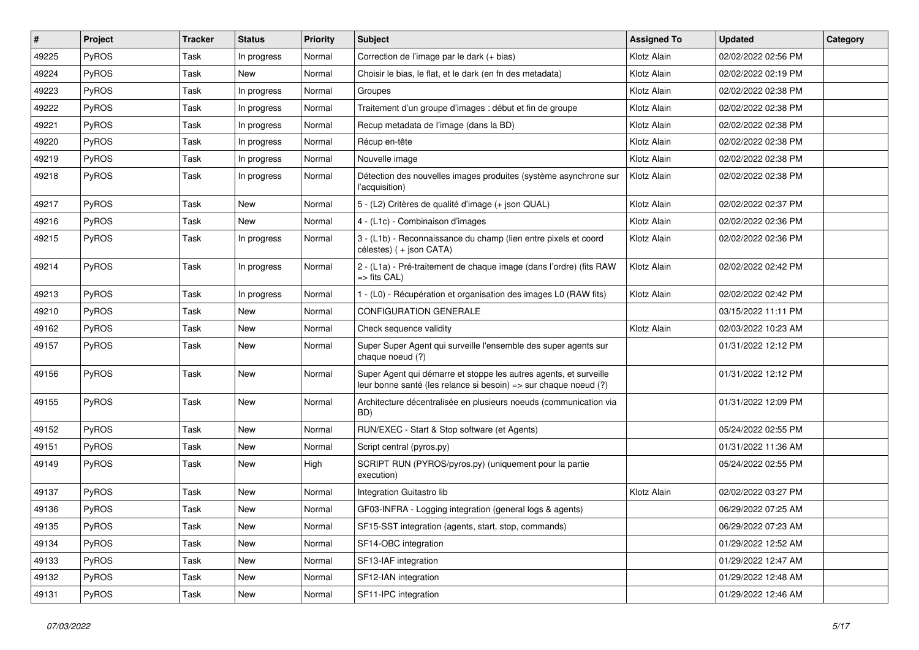| #     | Project      | Tracker | <b>Status</b> | <b>Priority</b> | <b>Subject</b>                                                                                                                        | <b>Assigned To</b> | <b>Updated</b>      | Category |
|-------|--------------|---------|---------------|-----------------|---------------------------------------------------------------------------------------------------------------------------------------|--------------------|---------------------|----------|
| 49225 | PyROS        | Task    | In progress   | Normal          | Correction de l'image par le dark (+ bias)                                                                                            | Klotz Alain        | 02/02/2022 02:56 PM |          |
| 49224 | PyROS        | Task    | <b>New</b>    | Normal          | Choisir le bias, le flat, et le dark (en fn des metadata)                                                                             | Klotz Alain        | 02/02/2022 02:19 PM |          |
| 49223 | PyROS        | Task    | In progress   | Normal          | Groupes                                                                                                                               | Klotz Alain        | 02/02/2022 02:38 PM |          |
| 49222 | PyROS        | Task    | In progress   | Normal          | Traitement d'un groupe d'images : début et fin de groupe                                                                              | Klotz Alain        | 02/02/2022 02:38 PM |          |
| 49221 | PyROS        | Task    | In progress   | Normal          | Recup metadata de l'image (dans la BD)                                                                                                | Klotz Alain        | 02/02/2022 02:38 PM |          |
| 49220 | <b>PyROS</b> | Task    | In progress   | Normal          | Récup en-tête                                                                                                                         | Klotz Alain        | 02/02/2022 02:38 PM |          |
| 49219 | PyROS        | Task    | In progress   | Normal          | Nouvelle image                                                                                                                        | Klotz Alain        | 02/02/2022 02:38 PM |          |
| 49218 | PyROS        | Task    | In progress   | Normal          | Détection des nouvelles images produites (système asynchrone sur<br>l'acquisition)                                                    | Klotz Alain        | 02/02/2022 02:38 PM |          |
| 49217 | PyROS        | Task    | New           | Normal          | 5 - (L2) Critères de qualité d'image (+ json QUAL)                                                                                    | Klotz Alain        | 02/02/2022 02:37 PM |          |
| 49216 | PyROS        | Task    | New           | Normal          | 4 - (L1c) - Combinaison d'images                                                                                                      | Klotz Alain        | 02/02/2022 02:36 PM |          |
| 49215 | PyROS        | Task    | In progress   | Normal          | 3 - (L1b) - Reconnaissance du champ (lien entre pixels et coord<br>célestes) ( + json CATA)                                           | Klotz Alain        | 02/02/2022 02:36 PM |          |
| 49214 | PyROS        | Task    | In progress   | Normal          | 2 - (L1a) - Pré-traitement de chaque image (dans l'ordre) (fits RAW<br>$\Rightarrow$ fits CAL)                                        | Klotz Alain        | 02/02/2022 02:42 PM |          |
| 49213 | PyROS        | Task    | In progress   | Normal          | 1 - (L0) - Récupération et organisation des images L0 (RAW fits)                                                                      | Klotz Alain        | 02/02/2022 02:42 PM |          |
| 49210 | PyROS        | Task    | New           | Normal          | <b>CONFIGURATION GENERALE</b>                                                                                                         |                    | 03/15/2022 11:11 PM |          |
| 49162 | PyROS        | Task    | New           | Normal          | Check sequence validity                                                                                                               | Klotz Alain        | 02/03/2022 10:23 AM |          |
| 49157 | PyROS        | Task    | New           | Normal          | Super Super Agent qui surveille l'ensemble des super agents sur<br>chaque noeud (?)                                                   |                    | 01/31/2022 12:12 PM |          |
| 49156 | PyROS        | Task    | New           | Normal          | Super Agent qui démarre et stoppe les autres agents, et surveille<br>leur bonne santé (les relance si besoin) => sur chaque noeud (?) |                    | 01/31/2022 12:12 PM |          |
| 49155 | PyROS        | Task    | New           | Normal          | Architecture décentralisée en plusieurs noeuds (communication via<br>BD)                                                              |                    | 01/31/2022 12:09 PM |          |
| 49152 | <b>PyROS</b> | Task    | New           | Normal          | RUN/EXEC - Start & Stop software (et Agents)                                                                                          |                    | 05/24/2022 02:55 PM |          |
| 49151 | PyROS        | Task    | <b>New</b>    | Normal          | Script central (pyros.py)                                                                                                             |                    | 01/31/2022 11:36 AM |          |
| 49149 | PyROS        | Task    | New           | High            | SCRIPT RUN (PYROS/pyros.py) (uniquement pour la partie<br>execution)                                                                  |                    | 05/24/2022 02:55 PM |          |
| 49137 | PyROS        | Task    | New           | Normal          | Integration Guitastro lib                                                                                                             | Klotz Alain        | 02/02/2022 03:27 PM |          |
| 49136 | PyROS        | Task    | New           | Normal          | GF03-INFRA - Logging integration (general logs & agents)                                                                              |                    | 06/29/2022 07:25 AM |          |
| 49135 | PyROS        | Task    | New           | Normal          | SF15-SST integration (agents, start, stop, commands)                                                                                  |                    | 06/29/2022 07:23 AM |          |
| 49134 | PyROS        | Task    | New           | Normal          | SF14-OBC integration                                                                                                                  |                    | 01/29/2022 12:52 AM |          |
| 49133 | PyROS        | Task    | New           | Normal          | SF13-IAF integration                                                                                                                  |                    | 01/29/2022 12:47 AM |          |
| 49132 | PyROS        | Task    | New           | Normal          | SF12-IAN integration                                                                                                                  |                    | 01/29/2022 12:48 AM |          |
| 49131 | PyROS        | Task    | New           | Normal          | SF11-IPC integration                                                                                                                  |                    | 01/29/2022 12:46 AM |          |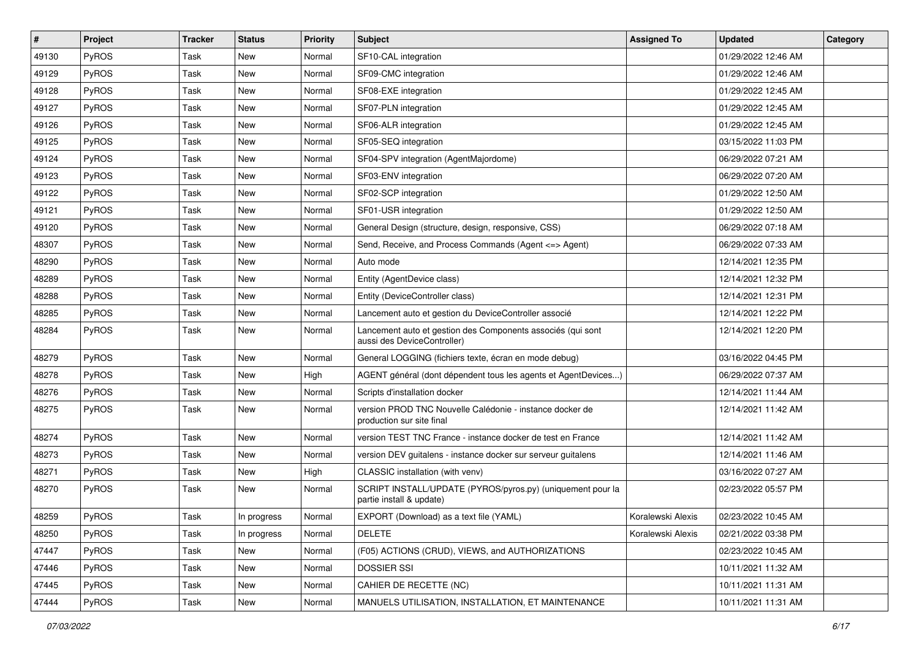| #     | Project      | Tracker | <b>Status</b> | <b>Priority</b> | <b>Subject</b>                                                                             | <b>Assigned To</b> | <b>Updated</b>      | Category |
|-------|--------------|---------|---------------|-----------------|--------------------------------------------------------------------------------------------|--------------------|---------------------|----------|
| 49130 | PyROS        | Task    | <b>New</b>    | Normal          | SF10-CAL integration                                                                       |                    | 01/29/2022 12:46 AM |          |
| 49129 | PyROS        | Task    | New           | Normal          | SF09-CMC integration                                                                       |                    | 01/29/2022 12:46 AM |          |
| 49128 | PyROS        | Task    | New           | Normal          | SF08-EXE integration                                                                       |                    | 01/29/2022 12:45 AM |          |
| 49127 | PyROS        | Task    | New           | Normal          | SF07-PLN integration                                                                       |                    | 01/29/2022 12:45 AM |          |
| 49126 | PyROS        | Task    | New           | Normal          | SF06-ALR integration                                                                       |                    | 01/29/2022 12:45 AM |          |
| 49125 | <b>PyROS</b> | Task    | New           | Normal          | SF05-SEQ integration                                                                       |                    | 03/15/2022 11:03 PM |          |
| 49124 | PyROS        | Task    | <b>New</b>    | Normal          | SF04-SPV integration (AgentMajordome)                                                      |                    | 06/29/2022 07:21 AM |          |
| 49123 | PyROS        | Task    | New           | Normal          | SF03-ENV integration                                                                       |                    | 06/29/2022 07:20 AM |          |
| 49122 | PyROS        | Task    | New           | Normal          | SF02-SCP integration                                                                       |                    | 01/29/2022 12:50 AM |          |
| 49121 | PyROS        | Task    | New           | Normal          | SF01-USR integration                                                                       |                    | 01/29/2022 12:50 AM |          |
| 49120 | <b>PyROS</b> | Task    | New           | Normal          | General Design (structure, design, responsive, CSS)                                        |                    | 06/29/2022 07:18 AM |          |
| 48307 | PyROS        | Task    | New           | Normal          | Send, Receive, and Process Commands (Agent <= > Agent)                                     |                    | 06/29/2022 07:33 AM |          |
| 48290 | PyROS        | Task    | New           | Normal          | Auto mode                                                                                  |                    | 12/14/2021 12:35 PM |          |
| 48289 | PyROS        | Task    | New           | Normal          | Entity (AgentDevice class)                                                                 |                    | 12/14/2021 12:32 PM |          |
| 48288 | PyROS        | Task    | New           | Normal          | Entity (DeviceController class)                                                            |                    | 12/14/2021 12:31 PM |          |
| 48285 | PyROS        | Task    | New           | Normal          | Lancement auto et gestion du DeviceController associé                                      |                    | 12/14/2021 12:22 PM |          |
| 48284 | PyROS        | Task    | New           | Normal          | Lancement auto et gestion des Components associés (qui sont<br>aussi des DeviceController) |                    | 12/14/2021 12:20 PM |          |
| 48279 | <b>PyROS</b> | Task    | New           | Normal          | General LOGGING (fichiers texte, écran en mode debug)                                      |                    | 03/16/2022 04:45 PM |          |
| 48278 | PyROS        | Task    | <b>New</b>    | High            | AGENT général (dont dépendent tous les agents et AgentDevices)                             |                    | 06/29/2022 07:37 AM |          |
| 48276 | PyROS        | Task    | New           | Normal          | Scripts d'installation docker                                                              |                    | 12/14/2021 11:44 AM |          |
| 48275 | PyROS        | Task    | New           | Normal          | version PROD TNC Nouvelle Calédonie - instance docker de<br>production sur site final      |                    | 12/14/2021 11:42 AM |          |
| 48274 | PyROS        | Task    | <b>New</b>    | Normal          | version TEST TNC France - instance docker de test en France                                |                    | 12/14/2021 11:42 AM |          |
| 48273 | PyROS        | Task    | New           | Normal          | version DEV guitalens - instance docker sur serveur guitalens                              |                    | 12/14/2021 11:46 AM |          |
| 48271 | PyROS        | Task    | New           | High            | CLASSIC installation (with venv)                                                           |                    | 03/16/2022 07:27 AM |          |
| 48270 | PyROS        | Task    | New           | Normal          | SCRIPT INSTALL/UPDATE (PYROS/pyros.py) (uniquement pour la<br>partie install & update)     |                    | 02/23/2022 05:57 PM |          |
| 48259 | PyROS        | Task    | In progress   | Normal          | EXPORT (Download) as a text file (YAML)                                                    | Koralewski Alexis  | 02/23/2022 10:45 AM |          |
| 48250 | <b>PyROS</b> | Task    | In progress   | Normal          | <b>DELETE</b>                                                                              | Koralewski Alexis  | 02/21/2022 03:38 PM |          |
| 47447 | PyROS        | Task    | New           | Normal          | (F05) ACTIONS (CRUD), VIEWS, and AUTHORIZATIONS                                            |                    | 02/23/2022 10:45 AM |          |
| 47446 | <b>PyROS</b> | Task    | New           | Normal          | <b>DOSSIER SSI</b>                                                                         |                    | 10/11/2021 11:32 AM |          |
| 47445 | PyROS        | Task    | New           | Normal          | CAHIER DE RECETTE (NC)                                                                     |                    | 10/11/2021 11:31 AM |          |
| 47444 | PyROS        | Task    | New           | Normal          | MANUELS UTILISATION, INSTALLATION, ET MAINTENANCE                                          |                    | 10/11/2021 11:31 AM |          |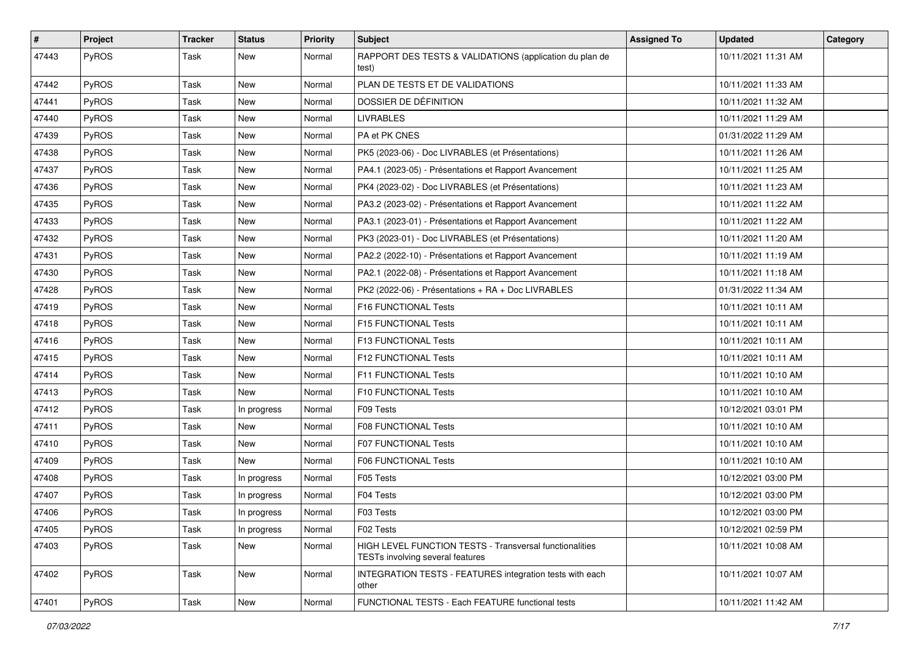| #     | Project      | <b>Tracker</b> | <b>Status</b> | <b>Priority</b> | <b>Subject</b>                                                                                     | <b>Assigned To</b> | <b>Updated</b>      | Category |
|-------|--------------|----------------|---------------|-----------------|----------------------------------------------------------------------------------------------------|--------------------|---------------------|----------|
| 47443 | PyROS        | Task           | New           | Normal          | RAPPORT DES TESTS & VALIDATIONS (application du plan de<br>test)                                   |                    | 10/11/2021 11:31 AM |          |
| 47442 | PyROS        | Task           | <b>New</b>    | Normal          | PLAN DE TESTS ET DE VALIDATIONS                                                                    |                    | 10/11/2021 11:33 AM |          |
| 47441 | PyROS        | Task           | <b>New</b>    | Normal          | DOSSIER DE DÉFINITION                                                                              |                    | 10/11/2021 11:32 AM |          |
| 47440 | PyROS        | Task           | <b>New</b>    | Normal          | <b>LIVRABLES</b>                                                                                   |                    | 10/11/2021 11:29 AM |          |
| 47439 | <b>PyROS</b> | Task           | <b>New</b>    | Normal          | PA et PK CNES                                                                                      |                    | 01/31/2022 11:29 AM |          |
| 47438 | PyROS        | Task           | <b>New</b>    | Normal          | PK5 (2023-06) - Doc LIVRABLES (et Présentations)                                                   |                    | 10/11/2021 11:26 AM |          |
| 47437 | PyROS        | Task           | New           | Normal          | PA4.1 (2023-05) - Présentations et Rapport Avancement                                              |                    | 10/11/2021 11:25 AM |          |
| 47436 | PyROS        | Task           | New           | Normal          | PK4 (2023-02) - Doc LIVRABLES (et Présentations)                                                   |                    | 10/11/2021 11:23 AM |          |
| 47435 | PyROS        | Task           | <b>New</b>    | Normal          | PA3.2 (2023-02) - Présentations et Rapport Avancement                                              |                    | 10/11/2021 11:22 AM |          |
| 47433 | <b>PyROS</b> | Task           | New           | Normal          | PA3.1 (2023-01) - Présentations et Rapport Avancement                                              |                    | 10/11/2021 11:22 AM |          |
| 47432 | PyROS        | Task           | <b>New</b>    | Normal          | PK3 (2023-01) - Doc LIVRABLES (et Présentations)                                                   |                    | 10/11/2021 11:20 AM |          |
| 47431 | PyROS        | Task           | New           | Normal          | PA2.2 (2022-10) - Présentations et Rapport Avancement                                              |                    | 10/11/2021 11:19 AM |          |
| 47430 | PyROS        | Task           | <b>New</b>    | Normal          | PA2.1 (2022-08) - Présentations et Rapport Avancement                                              |                    | 10/11/2021 11:18 AM |          |
| 47428 | PyROS        | Task           | New           | Normal          | PK2 (2022-06) - Présentations + RA + Doc LIVRABLES                                                 |                    | 01/31/2022 11:34 AM |          |
| 47419 | <b>PyROS</b> | Task           | New           | Normal          | F16 FUNCTIONAL Tests                                                                               |                    | 10/11/2021 10:11 AM |          |
| 47418 | PyROS        | Task           | <b>New</b>    | Normal          | F15 FUNCTIONAL Tests                                                                               |                    | 10/11/2021 10:11 AM |          |
| 47416 | PyROS        | Task           | New           | Normal          | F13 FUNCTIONAL Tests                                                                               |                    | 10/11/2021 10:11 AM |          |
| 47415 | PyROS        | Task           | <b>New</b>    | Normal          | F12 FUNCTIONAL Tests                                                                               |                    | 10/11/2021 10:11 AM |          |
| 47414 | PyROS        | Task           | <b>New</b>    | Normal          | F11 FUNCTIONAL Tests                                                                               |                    | 10/11/2021 10:10 AM |          |
| 47413 | PyROS        | Task           | New           | Normal          | F10 FUNCTIONAL Tests                                                                               |                    | 10/11/2021 10:10 AM |          |
| 47412 | PyROS        | Task           | In progress   | Normal          | F09 Tests                                                                                          |                    | 10/12/2021 03:01 PM |          |
| 47411 | PyROS        | Task           | New           | Normal          | F08 FUNCTIONAL Tests                                                                               |                    | 10/11/2021 10:10 AM |          |
| 47410 | PyROS        | Task           | New           | Normal          | F07 FUNCTIONAL Tests                                                                               |                    | 10/11/2021 10:10 AM |          |
| 47409 | PyROS        | Task           | New           | Normal          | F06 FUNCTIONAL Tests                                                                               |                    | 10/11/2021 10:10 AM |          |
| 47408 | PyROS        | Task           | In progress   | Normal          | F05 Tests                                                                                          |                    | 10/12/2021 03:00 PM |          |
| 47407 | PyROS        | Task           | In progress   | Normal          | F04 Tests                                                                                          |                    | 10/12/2021 03:00 PM |          |
| 47406 | PyROS        | Task           | In progress   | Normal          | F03 Tests                                                                                          |                    | 10/12/2021 03:00 PM |          |
| 47405 | PyROS        | Task           | In progress   | Normal          | F02 Tests                                                                                          |                    | 10/12/2021 02:59 PM |          |
| 47403 | PyROS        | Task           | New           | Normal          | <b>HIGH LEVEL FUNCTION TESTS - Transversal functionalities</b><br>TESTs involving several features |                    | 10/11/2021 10:08 AM |          |
| 47402 | PyROS        | Task           | New           | Normal          | INTEGRATION TESTS - FEATURES integration tests with each<br>other                                  |                    | 10/11/2021 10:07 AM |          |
| 47401 | PyROS        | Task           | New           | Normal          | FUNCTIONAL TESTS - Each FEATURE functional tests                                                   |                    | 10/11/2021 11:42 AM |          |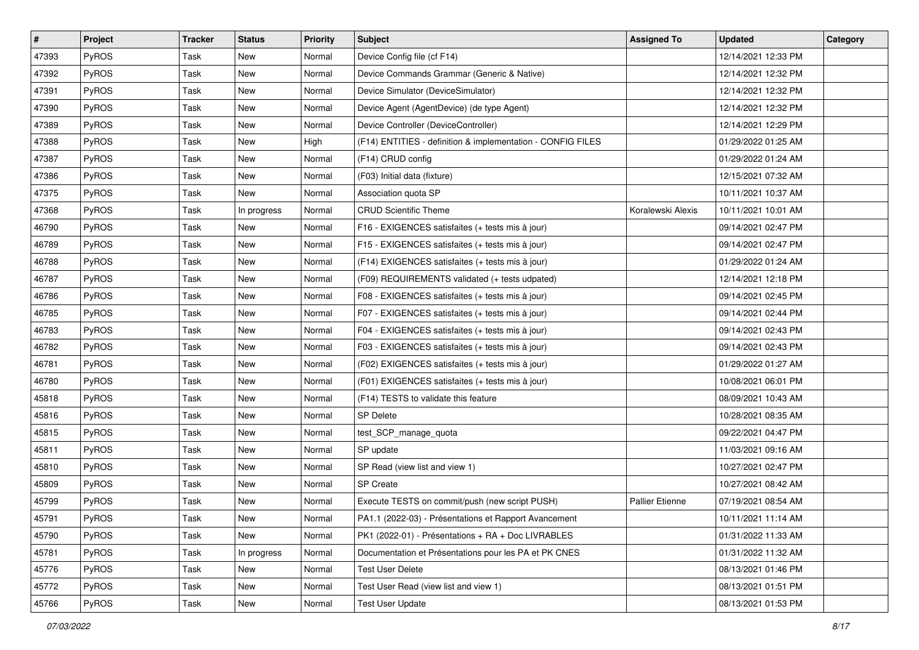| #     | Project      | <b>Tracker</b> | <b>Status</b> | <b>Priority</b> | Subject                                                     | <b>Assigned To</b>     | <b>Updated</b>      | Category |
|-------|--------------|----------------|---------------|-----------------|-------------------------------------------------------------|------------------------|---------------------|----------|
| 47393 | PyROS        | Task           | New           | Normal          | Device Config file (cf F14)                                 |                        | 12/14/2021 12:33 PM |          |
| 47392 | PyROS        | Task           | New           | Normal          | Device Commands Grammar (Generic & Native)                  |                        | 12/14/2021 12:32 PM |          |
| 47391 | PyROS        | Task           | <b>New</b>    | Normal          | Device Simulator (DeviceSimulator)                          |                        | 12/14/2021 12:32 PM |          |
| 47390 | PyROS        | Task           | New           | Normal          | Device Agent (AgentDevice) (de type Agent)                  |                        | 12/14/2021 12:32 PM |          |
| 47389 | PyROS        | Task           | <b>New</b>    | Normal          | Device Controller (DeviceController)                        |                        | 12/14/2021 12:29 PM |          |
| 47388 | PyROS        | Task           | New           | High            | (F14) ENTITIES - definition & implementation - CONFIG FILES |                        | 01/29/2022 01:25 AM |          |
| 47387 | PyROS        | Task           | <b>New</b>    | Normal          | (F14) CRUD config                                           |                        | 01/29/2022 01:24 AM |          |
| 47386 | PyROS        | Task           | New           | Normal          | (F03) Initial data (fixture)                                |                        | 12/15/2021 07:32 AM |          |
| 47375 | PyROS        | Task           | New           | Normal          | Association quota SP                                        |                        | 10/11/2021 10:37 AM |          |
| 47368 | PyROS        | Task           | In progress   | Normal          | <b>CRUD Scientific Theme</b>                                | Koralewski Alexis      | 10/11/2021 10:01 AM |          |
| 46790 | PyROS        | Task           | New           | Normal          | F16 - EXIGENCES satisfaites (+ tests mis à jour)            |                        | 09/14/2021 02:47 PM |          |
| 46789 | <b>PyROS</b> | Task           | <b>New</b>    | Normal          | F15 - EXIGENCES satisfaites (+ tests mis à jour)            |                        | 09/14/2021 02:47 PM |          |
| 46788 | PyROS        | Task           | New           | Normal          | (F14) EXIGENCES satisfaites (+ tests mis à jour)            |                        | 01/29/2022 01:24 AM |          |
| 46787 | PyROS        | Task           | <b>New</b>    | Normal          | (F09) REQUIREMENTS validated (+ tests udpated)              |                        | 12/14/2021 12:18 PM |          |
| 46786 | PyROS        | Task           | <b>New</b>    | Normal          | F08 - EXIGENCES satisfaites (+ tests mis à jour)            |                        | 09/14/2021 02:45 PM |          |
| 46785 | <b>PyROS</b> | Task           | New           | Normal          | F07 - EXIGENCES satisfaites (+ tests mis à jour)            |                        | 09/14/2021 02:44 PM |          |
| 46783 | PyROS        | Task           | New           | Normal          | F04 - EXIGENCES satisfaites (+ tests mis à jour)            |                        | 09/14/2021 02:43 PM |          |
| 46782 | PyROS        | Task           | <b>New</b>    | Normal          | F03 - EXIGENCES satisfaites (+ tests mis à jour)            |                        | 09/14/2021 02:43 PM |          |
| 46781 | PyROS        | Task           | New           | Normal          | (F02) EXIGENCES satisfaites (+ tests mis à jour)            |                        | 01/29/2022 01:27 AM |          |
| 46780 | PyROS        | Task           | <b>New</b>    | Normal          | (F01) EXIGENCES satisfaites (+ tests mis à jour)            |                        | 10/08/2021 06:01 PM |          |
| 45818 | PyROS        | Task           | <b>New</b>    | Normal          | (F14) TESTS to validate this feature                        |                        | 08/09/2021 10:43 AM |          |
| 45816 | PyROS        | Task           | New           | Normal          | SP Delete                                                   |                        | 10/28/2021 08:35 AM |          |
| 45815 | PyROS        | Task           | <b>New</b>    | Normal          | test_SCP_manage_quota                                       |                        | 09/22/2021 04:47 PM |          |
| 45811 | PyROS        | Task           | New           | Normal          | SP update                                                   |                        | 11/03/2021 09:16 AM |          |
| 45810 | PyROS        | Task           | <b>New</b>    | Normal          | SP Read (view list and view 1)                              |                        | 10/27/2021 02:47 PM |          |
| 45809 | PyROS        | Task           | New           | Normal          | <b>SP</b> Create                                            |                        | 10/27/2021 08:42 AM |          |
| 45799 | PyROS        | Task           | <b>New</b>    | Normal          | Execute TESTS on commit/push (new script PUSH)              | <b>Pallier Etienne</b> | 07/19/2021 08:54 AM |          |
| 45791 | PyROS        | Task           | New           | Normal          | PA1.1 (2022-03) - Présentations et Rapport Avancement       |                        | 10/11/2021 11:14 AM |          |
| 45790 | PyROS        | Task           | New           | Normal          | PK1 (2022-01) - Présentations + RA + Doc LIVRABLES          |                        | 01/31/2022 11:33 AM |          |
| 45781 | PyROS        | Task           | In progress   | Normal          | Documentation et Présentations pour les PA et PK CNES       |                        | 01/31/2022 11:32 AM |          |
| 45776 | PyROS        | Task           | New           | Normal          | <b>Test User Delete</b>                                     |                        | 08/13/2021 01:46 PM |          |
| 45772 | PyROS        | Task           | New           | Normal          | Test User Read (view list and view 1)                       |                        | 08/13/2021 01:51 PM |          |
| 45766 | PyROS        | Task           | New           | Normal          | <b>Test User Update</b>                                     |                        | 08/13/2021 01:53 PM |          |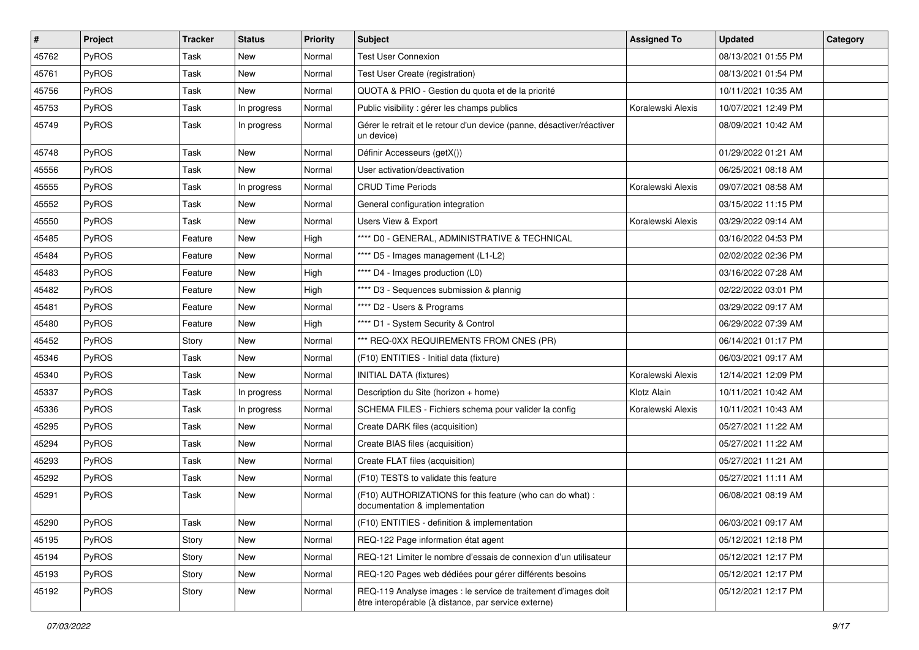| $\vert$ # | Project | <b>Tracker</b> | <b>Status</b> | <b>Priority</b> | Subject                                                                                                                 | <b>Assigned To</b> | <b>Updated</b>      | Category |
|-----------|---------|----------------|---------------|-----------------|-------------------------------------------------------------------------------------------------------------------------|--------------------|---------------------|----------|
| 45762     | PyROS   | Task           | <b>New</b>    | Normal          | <b>Test User Connexion</b>                                                                                              |                    | 08/13/2021 01:55 PM |          |
| 45761     | PyROS   | Task           | <b>New</b>    | Normal          | Test User Create (registration)                                                                                         |                    | 08/13/2021 01:54 PM |          |
| 45756     | PyROS   | Task           | New           | Normal          | QUOTA & PRIO - Gestion du quota et de la priorité                                                                       |                    | 10/11/2021 10:35 AM |          |
| 45753     | PyROS   | Task           | In progress   | Normal          | Public visibility : gérer les champs publics                                                                            | Koralewski Alexis  | 10/07/2021 12:49 PM |          |
| 45749     | PyROS   | Task           | In progress   | Normal          | Gérer le retrait et le retour d'un device (panne, désactiver/réactiver<br>un device)                                    |                    | 08/09/2021 10:42 AM |          |
| 45748     | PyROS   | Task           | <b>New</b>    | Normal          | Définir Accesseurs (getX())                                                                                             |                    | 01/29/2022 01:21 AM |          |
| 45556     | PyROS   | Task           | New           | Normal          | User activation/deactivation                                                                                            |                    | 06/25/2021 08:18 AM |          |
| 45555     | PyROS   | Task           | In progress   | Normal          | <b>CRUD Time Periods</b>                                                                                                | Koralewski Alexis  | 09/07/2021 08:58 AM |          |
| 45552     | PyROS   | Task           | <b>New</b>    | Normal          | General configuration integration                                                                                       |                    | 03/15/2022 11:15 PM |          |
| 45550     | PyROS   | Task           | <b>New</b>    | Normal          | Users View & Export                                                                                                     | Koralewski Alexis  | 03/29/2022 09:14 AM |          |
| 45485     | PyROS   | Feature        | <b>New</b>    | High            | **** D0 - GENERAL, ADMINISTRATIVE & TECHNICAL                                                                           |                    | 03/16/2022 04:53 PM |          |
| 45484     | PyROS   | Feature        | New           | Normal          | **** D5 - Images management (L1-L2)                                                                                     |                    | 02/02/2022 02:36 PM |          |
| 45483     | PyROS   | Feature        | <b>New</b>    | High            | **** D4 - Images production (L0)                                                                                        |                    | 03/16/2022 07:28 AM |          |
| 45482     | PyROS   | Feature        | <b>New</b>    | High            | **** D3 - Sequences submission & plannig                                                                                |                    | 02/22/2022 03:01 PM |          |
| 45481     | PyROS   | Feature        | <b>New</b>    | Normal          | **** D2 - Users & Programs                                                                                              |                    | 03/29/2022 09:17 AM |          |
| 45480     | PyROS   | Feature        | <b>New</b>    | High            | **** D1 - System Security & Control                                                                                     |                    | 06/29/2022 07:39 AM |          |
| 45452     | PyROS   | Story          | <b>New</b>    | Normal          | *** REQ-0XX REQUIREMENTS FROM CNES (PR)                                                                                 |                    | 06/14/2021 01:17 PM |          |
| 45346     | PyROS   | Task           | <b>New</b>    | Normal          | (F10) ENTITIES - Initial data (fixture)                                                                                 |                    | 06/03/2021 09:17 AM |          |
| 45340     | PyROS   | Task           | <b>New</b>    | Normal          | <b>INITIAL DATA (fixtures)</b>                                                                                          | Koralewski Alexis  | 12/14/2021 12:09 PM |          |
| 45337     | PyROS   | Task           | In progress   | Normal          | Description du Site (horizon + home)                                                                                    | Klotz Alain        | 10/11/2021 10:42 AM |          |
| 45336     | PyROS   | Task           | In progress   | Normal          | SCHEMA FILES - Fichiers schema pour valider la config                                                                   | Koralewski Alexis  | 10/11/2021 10:43 AM |          |
| 45295     | PyROS   | Task           | <b>New</b>    | Normal          | Create DARK files (acquisition)                                                                                         |                    | 05/27/2021 11:22 AM |          |
| 45294     | PyROS   | Task           | New           | Normal          | Create BIAS files (acquisition)                                                                                         |                    | 05/27/2021 11:22 AM |          |
| 45293     | PyROS   | Task           | <b>New</b>    | Normal          | Create FLAT files (acquisition)                                                                                         |                    | 05/27/2021 11:21 AM |          |
| 45292     | PyROS   | Task           | New           | Normal          | (F10) TESTS to validate this feature                                                                                    |                    | 05/27/2021 11:11 AM |          |
| 45291     | PyROS   | Task           | <b>New</b>    | Normal          | (F10) AUTHORIZATIONS for this feature (who can do what) :<br>documentation & implementation                             |                    | 06/08/2021 08:19 AM |          |
| 45290     | PyROS   | Task           | New           | Normal          | (F10) ENTITIES - definition & implementation                                                                            |                    | 06/03/2021 09:17 AM |          |
| 45195     | PyROS   | Story          | <b>New</b>    | Normal          | REQ-122 Page information état agent                                                                                     |                    | 05/12/2021 12:18 PM |          |
| 45194     | PyROS   | Story          | New           | Normal          | REQ-121 Limiter le nombre d'essais de connexion d'un utilisateur                                                        |                    | 05/12/2021 12:17 PM |          |
| 45193     | PyROS   | Story          | New           | Normal          | REQ-120 Pages web dédiées pour gérer différents besoins                                                                 |                    | 05/12/2021 12:17 PM |          |
| 45192     | PyROS   | Story          | New           | Normal          | REQ-119 Analyse images : le service de traitement d'images doit<br>être interopérable (à distance, par service externe) |                    | 05/12/2021 12:17 PM |          |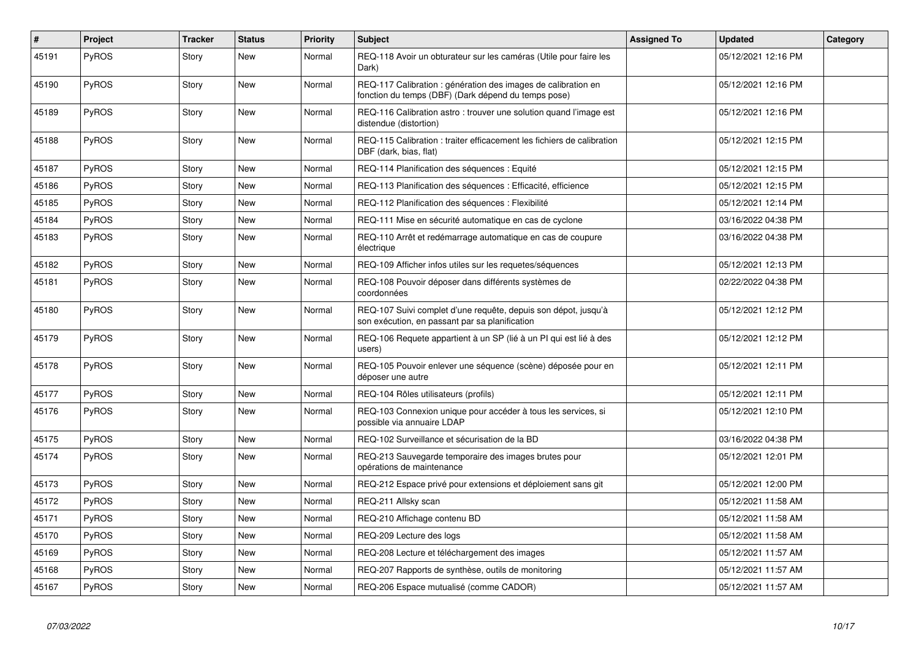| $\vert$ # | Project      | <b>Tracker</b> | <b>Status</b> | <b>Priority</b> | <b>Subject</b>                                                                                                       | <b>Assigned To</b> | <b>Updated</b>      | Category |
|-----------|--------------|----------------|---------------|-----------------|----------------------------------------------------------------------------------------------------------------------|--------------------|---------------------|----------|
| 45191     | PyROS        | Story          | <b>New</b>    | Normal          | REQ-118 Avoir un obturateur sur les caméras (Utile pour faire les<br>Dark)                                           |                    | 05/12/2021 12:16 PM |          |
| 45190     | PyROS        | Story          | <b>New</b>    | Normal          | REQ-117 Calibration : génération des images de calibration en<br>fonction du temps (DBF) (Dark dépend du temps pose) |                    | 05/12/2021 12:16 PM |          |
| 45189     | <b>PyROS</b> | Story          | <b>New</b>    | Normal          | REQ-116 Calibration astro: trouver une solution quand l'image est<br>distendue (distortion)                          |                    | 05/12/2021 12:16 PM |          |
| 45188     | <b>PyROS</b> | Story          | <b>New</b>    | Normal          | REQ-115 Calibration: traiter efficacement les fichiers de calibration<br>DBF (dark, bias, flat)                      |                    | 05/12/2021 12:15 PM |          |
| 45187     | <b>PyROS</b> | Story          | New           | Normal          | REQ-114 Planification des séquences : Equité                                                                         |                    | 05/12/2021 12:15 PM |          |
| 45186     | PyROS        | Story          | <b>New</b>    | Normal          | REQ-113 Planification des séquences : Efficacité, efficience                                                         |                    | 05/12/2021 12:15 PM |          |
| 45185     | PyROS        | Story          | <b>New</b>    | Normal          | REQ-112 Planification des séquences : Flexibilité                                                                    |                    | 05/12/2021 12:14 PM |          |
| 45184     | PyROS        | Story          | New           | Normal          | REQ-111 Mise en sécurité automatique en cas de cyclone                                                               |                    | 03/16/2022 04:38 PM |          |
| 45183     | <b>PyROS</b> | Story          | <b>New</b>    | Normal          | REQ-110 Arrêt et redémarrage automatique en cas de coupure<br>électrique                                             |                    | 03/16/2022 04:38 PM |          |
| 45182     | PyROS        | Story          | <b>New</b>    | Normal          | REQ-109 Afficher infos utiles sur les requetes/séquences                                                             |                    | 05/12/2021 12:13 PM |          |
| 45181     | <b>PyROS</b> | Story          | <b>New</b>    | Normal          | REQ-108 Pouvoir déposer dans différents systèmes de<br>coordonnées                                                   |                    | 02/22/2022 04:38 PM |          |
| 45180     | <b>PyROS</b> | Story          | <b>New</b>    | Normal          | REQ-107 Suivi complet d'une requête, depuis son dépot, jusqu'à<br>son exécution, en passant par sa planification     |                    | 05/12/2021 12:12 PM |          |
| 45179     | <b>PyROS</b> | Story          | <b>New</b>    | Normal          | REQ-106 Requete appartient à un SP (lié à un PI qui est lié à des<br>users)                                          |                    | 05/12/2021 12:12 PM |          |
| 45178     | PyROS        | Story          | <b>New</b>    | Normal          | REQ-105 Pouvoir enlever une séquence (scène) déposée pour en<br>déposer une autre                                    |                    | 05/12/2021 12:11 PM |          |
| 45177     | PyROS        | Story          | <b>New</b>    | Normal          | REQ-104 Rôles utilisateurs (profils)                                                                                 |                    | 05/12/2021 12:11 PM |          |
| 45176     | <b>PyROS</b> | Story          | <b>New</b>    | Normal          | REQ-103 Connexion unique pour accéder à tous les services, si<br>possible via annuaire LDAP                          |                    | 05/12/2021 12:10 PM |          |
| 45175     | PyROS        | Story          | <b>New</b>    | Normal          | REQ-102 Surveillance et sécurisation de la BD                                                                        |                    | 03/16/2022 04:38 PM |          |
| 45174     | <b>PyROS</b> | Story          | <b>New</b>    | Normal          | REQ-213 Sauvegarde temporaire des images brutes pour<br>opérations de maintenance                                    |                    | 05/12/2021 12:01 PM |          |
| 45173     | PyROS        | Story          | <b>New</b>    | Normal          | REQ-212 Espace privé pour extensions et déploiement sans git                                                         |                    | 05/12/2021 12:00 PM |          |
| 45172     | <b>PyROS</b> | Story          | <b>New</b>    | Normal          | REQ-211 Allsky scan                                                                                                  |                    | 05/12/2021 11:58 AM |          |
| 45171     | PyROS        | Story          | <b>New</b>    | Normal          | REQ-210 Affichage contenu BD                                                                                         |                    | 05/12/2021 11:58 AM |          |
| 45170     | PyROS        | Story          | <b>New</b>    | Normal          | REQ-209 Lecture des logs                                                                                             |                    | 05/12/2021 11:58 AM |          |
| 45169     | PyROS        | Story          | New           | Normal          | REQ-208 Lecture et téléchargement des images                                                                         |                    | 05/12/2021 11:57 AM |          |
| 45168     | <b>PyROS</b> | Story          | <b>New</b>    | Normal          | REQ-207 Rapports de synthèse, outils de monitoring                                                                   |                    | 05/12/2021 11:57 AM |          |
| 45167     | PyROS        | Story          | New           | Normal          | REQ-206 Espace mutualisé (comme CADOR)                                                                               |                    | 05/12/2021 11:57 AM |          |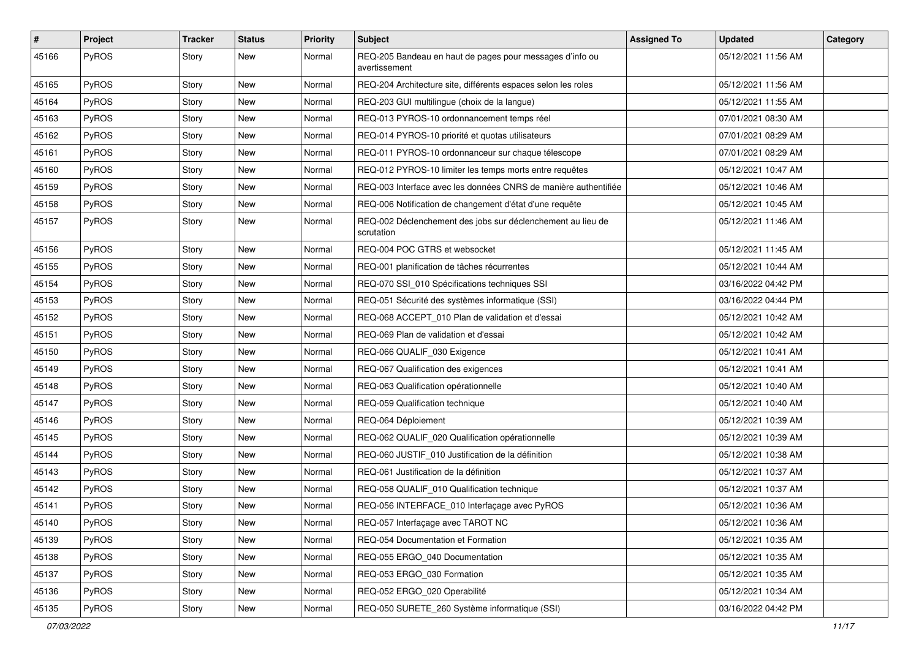| $\vert$ # | Project      | Tracker | <b>Status</b> | <b>Priority</b> | <b>Subject</b>                                                            | <b>Assigned To</b> | <b>Updated</b>      | Category |
|-----------|--------------|---------|---------------|-----------------|---------------------------------------------------------------------------|--------------------|---------------------|----------|
| 45166     | PyROS        | Story   | New           | Normal          | REQ-205 Bandeau en haut de pages pour messages d'info ou<br>avertissement |                    | 05/12/2021 11:56 AM |          |
| 45165     | PyROS        | Story   | New           | Normal          | REQ-204 Architecture site, différents espaces selon les roles             |                    | 05/12/2021 11:56 AM |          |
| 45164     | PyROS        | Story   | New           | Normal          | REQ-203 GUI multilingue (choix de la langue)                              |                    | 05/12/2021 11:55 AM |          |
| 45163     | PyROS        | Story   | New           | Normal          | REQ-013 PYROS-10 ordonnancement temps réel                                |                    | 07/01/2021 08:30 AM |          |
| 45162     | <b>PyROS</b> | Story   | New           | Normal          | REQ-014 PYROS-10 priorité et quotas utilisateurs                          |                    | 07/01/2021 08:29 AM |          |
| 45161     | PyROS        | Story   | <b>New</b>    | Normal          | REQ-011 PYROS-10 ordonnanceur sur chaque télescope                        |                    | 07/01/2021 08:29 AM |          |
| 45160     | PyROS        | Story   | New           | Normal          | REQ-012 PYROS-10 limiter les temps morts entre requêtes                   |                    | 05/12/2021 10:47 AM |          |
| 45159     | PyROS        | Story   | New           | Normal          | REQ-003 Interface avec les données CNRS de manière authentifiée           |                    | 05/12/2021 10:46 AM |          |
| 45158     | PyROS        | Story   | New           | Normal          | REQ-006 Notification de changement d'état d'une requête                   |                    | 05/12/2021 10:45 AM |          |
| 45157     | <b>PyROS</b> | Story   | New           | Normal          | REQ-002 Déclenchement des jobs sur déclenchement au lieu de<br>scrutation |                    | 05/12/2021 11:46 AM |          |
| 45156     | PyROS        | Story   | New           | Normal          | REQ-004 POC GTRS et websocket                                             |                    | 05/12/2021 11:45 AM |          |
| 45155     | <b>PyROS</b> | Story   | New           | Normal          | REQ-001 planification de tâches récurrentes                               |                    | 05/12/2021 10:44 AM |          |
| 45154     | PyROS        | Story   | New           | Normal          | REQ-070 SSI_010 Spécifications techniques SSI                             |                    | 03/16/2022 04:42 PM |          |
| 45153     | PyROS        | Story   | New           | Normal          | REQ-051 Sécurité des systèmes informatique (SSI)                          |                    | 03/16/2022 04:44 PM |          |
| 45152     | PyROS        | Story   | New           | Normal          | REQ-068 ACCEPT_010 Plan de validation et d'essai                          |                    | 05/12/2021 10:42 AM |          |
| 45151     | PyROS        | Story   | New           | Normal          | REQ-069 Plan de validation et d'essai                                     |                    | 05/12/2021 10:42 AM |          |
| 45150     | <b>PyROS</b> | Story   | New           | Normal          | REQ-066 QUALIF_030 Exigence                                               |                    | 05/12/2021 10:41 AM |          |
| 45149     | PyROS        | Story   | New           | Normal          | REQ-067 Qualification des exigences                                       |                    | 05/12/2021 10:41 AM |          |
| 45148     | PyROS        | Story   | New           | Normal          | REQ-063 Qualification opérationnelle                                      |                    | 05/12/2021 10:40 AM |          |
| 45147     | PyROS        | Story   | New           | Normal          | REQ-059 Qualification technique                                           |                    | 05/12/2021 10:40 AM |          |
| 45146     | PyROS        | Story   | New           | Normal          | REQ-064 Déploiement                                                       |                    | 05/12/2021 10:39 AM |          |
| 45145     | PyROS        | Story   | New           | Normal          | REQ-062 QUALIF_020 Qualification opérationnelle                           |                    | 05/12/2021 10:39 AM |          |
| 45144     | PyROS        | Story   | New           | Normal          | REQ-060 JUSTIF_010 Justification de la définition                         |                    | 05/12/2021 10:38 AM |          |
| 45143     | PyROS        | Story   | New           | Normal          | REQ-061 Justification de la définition                                    |                    | 05/12/2021 10:37 AM |          |
| 45142     | PyROS        | Story   | New           | Normal          | REQ-058 QUALIF_010 Qualification technique                                |                    | 05/12/2021 10:37 AM |          |
| 45141     | PyROS        | Story   | New           | Normal          | REQ-056 INTERFACE_010 Interfaçage avec PyROS                              |                    | 05/12/2021 10:36 AM |          |
| 45140     | PyROS        | Story   | New           | Normal          | REQ-057 Interfaçage avec TAROT NC                                         |                    | 05/12/2021 10:36 AM |          |
| 45139     | PyROS        | Story   | New           | Normal          | REQ-054 Documentation et Formation                                        |                    | 05/12/2021 10:35 AM |          |
| 45138     | PyROS        | Story   | New           | Normal          | REQ-055 ERGO_040 Documentation                                            |                    | 05/12/2021 10:35 AM |          |
| 45137     | PyROS        | Story   | New           | Normal          | REQ-053 ERGO_030 Formation                                                |                    | 05/12/2021 10:35 AM |          |
| 45136     | PyROS        | Story   | New           | Normal          | REQ-052 ERGO_020 Operabilité                                              |                    | 05/12/2021 10:34 AM |          |
| 45135     | PyROS        | Story   | New           | Normal          | REQ-050 SURETE_260 Système informatique (SSI)                             |                    | 03/16/2022 04:42 PM |          |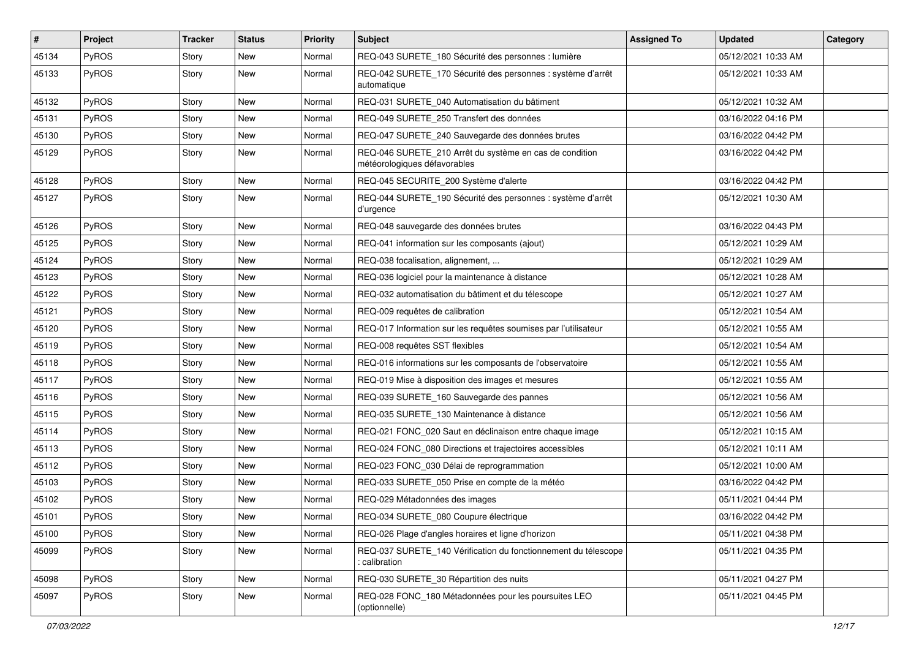| $\vert$ # | Project      | Tracker | <b>Status</b> | <b>Priority</b> | <b>Subject</b>                                                                          | <b>Assigned To</b> | <b>Updated</b>      | Category |
|-----------|--------------|---------|---------------|-----------------|-----------------------------------------------------------------------------------------|--------------------|---------------------|----------|
| 45134     | PyROS        | Story   | New           | Normal          | REQ-043 SURETE_180 Sécurité des personnes : lumière                                     |                    | 05/12/2021 10:33 AM |          |
| 45133     | PyROS        | Story   | New           | Normal          | REQ-042 SURETE_170 Sécurité des personnes : système d'arrêt<br>automatique              |                    | 05/12/2021 10:33 AM |          |
| 45132     | PyROS        | Story   | New           | Normal          | REQ-031 SURETE 040 Automatisation du bâtiment                                           |                    | 05/12/2021 10:32 AM |          |
| 45131     | PyROS        | Story   | New           | Normal          | REQ-049 SURETE_250 Transfert des données                                                |                    | 03/16/2022 04:16 PM |          |
| 45130     | <b>PyROS</b> | Story   | New           | Normal          | REQ-047 SURETE_240 Sauvegarde des données brutes                                        |                    | 03/16/2022 04:42 PM |          |
| 45129     | PyROS        | Story   | New           | Normal          | REQ-046 SURETE_210 Arrêt du système en cas de condition<br>météorologiques défavorables |                    | 03/16/2022 04:42 PM |          |
| 45128     | PyROS        | Story   | New           | Normal          | REQ-045 SECURITE_200 Système d'alerte                                                   |                    | 03/16/2022 04:42 PM |          |
| 45127     | PyROS        | Story   | New           | Normal          | REQ-044 SURETE_190 Sécurité des personnes : système d'arrêt<br>d'urgence                |                    | 05/12/2021 10:30 AM |          |
| 45126     | PyROS        | Story   | New           | Normal          | REQ-048 sauvegarde des données brutes                                                   |                    | 03/16/2022 04:43 PM |          |
| 45125     | PyROS        | Story   | New           | Normal          | REQ-041 information sur les composants (ajout)                                          |                    | 05/12/2021 10:29 AM |          |
| 45124     | <b>PyROS</b> | Story   | New           | Normal          | REQ-038 focalisation, alignement,                                                       |                    | 05/12/2021 10:29 AM |          |
| 45123     | PyROS        | Story   | New           | Normal          | REQ-036 logiciel pour la maintenance à distance                                         |                    | 05/12/2021 10:28 AM |          |
| 45122     | PyROS        | Story   | New           | Normal          | REQ-032 automatisation du bâtiment et du télescope                                      |                    | 05/12/2021 10:27 AM |          |
| 45121     | PyROS        | Story   | New           | Normal          | REQ-009 requêtes de calibration                                                         |                    | 05/12/2021 10:54 AM |          |
| 45120     | PyROS        | Story   | New           | Normal          | REQ-017 Information sur les requêtes soumises par l'utilisateur                         |                    | 05/12/2021 10:55 AM |          |
| 45119     | <b>PyROS</b> | Story   | New           | Normal          | REQ-008 requêtes SST flexibles                                                          |                    | 05/12/2021 10:54 AM |          |
| 45118     | PyROS        | Story   | New           | Normal          | REQ-016 informations sur les composants de l'observatoire                               |                    | 05/12/2021 10:55 AM |          |
| 45117     | PyROS        | Story   | New           | Normal          | REQ-019 Mise à disposition des images et mesures                                        |                    | 05/12/2021 10:55 AM |          |
| 45116     | PyROS        | Story   | New           | Normal          | REQ-039 SURETE_160 Sauvegarde des pannes                                                |                    | 05/12/2021 10:56 AM |          |
| 45115     | PyROS        | Story   | New           | Normal          | REQ-035 SURETE_130 Maintenance à distance                                               |                    | 05/12/2021 10:56 AM |          |
| 45114     | PyROS        | Story   | New           | Normal          | REQ-021 FONC_020 Saut en déclinaison entre chaque image                                 |                    | 05/12/2021 10:15 AM |          |
| 45113     | PyROS        | Story   | New           | Normal          | REQ-024 FONC 080 Directions et trajectoires accessibles                                 |                    | 05/12/2021 10:11 AM |          |
| 45112     | PyROS        | Story   | New           | Normal          | REQ-023 FONC_030 Délai de reprogrammation                                               |                    | 05/12/2021 10:00 AM |          |
| 45103     | <b>PyROS</b> | Story   | New           | Normal          | REQ-033 SURETE_050 Prise en compte de la météo                                          |                    | 03/16/2022 04:42 PM |          |
| 45102     | PyROS        | Story   | New           | Normal          | REQ-029 Métadonnées des images                                                          |                    | 05/11/2021 04:44 PM |          |
| 45101     | PyROS        | Story   | New           | Normal          | REQ-034 SURETE_080 Coupure électrique                                                   |                    | 03/16/2022 04:42 PM |          |
| 45100     | PyROS        | Story   | New           | Normal          | REQ-026 Plage d'angles horaires et ligne d'horizon                                      |                    | 05/11/2021 04:38 PM |          |
| 45099     | PyROS        | Story   | New           | Normal          | REQ-037 SURETE_140 Vérification du fonctionnement du télescope<br>calibration:          |                    | 05/11/2021 04:35 PM |          |
| 45098     | PyROS        | Story   | New           | Normal          | REQ-030 SURETE_30 Répartition des nuits                                                 |                    | 05/11/2021 04:27 PM |          |
| 45097     | PyROS        | Story   | New           | Normal          | REQ-028 FONC_180 Métadonnées pour les poursuites LEO<br>(optionnelle)                   |                    | 05/11/2021 04:45 PM |          |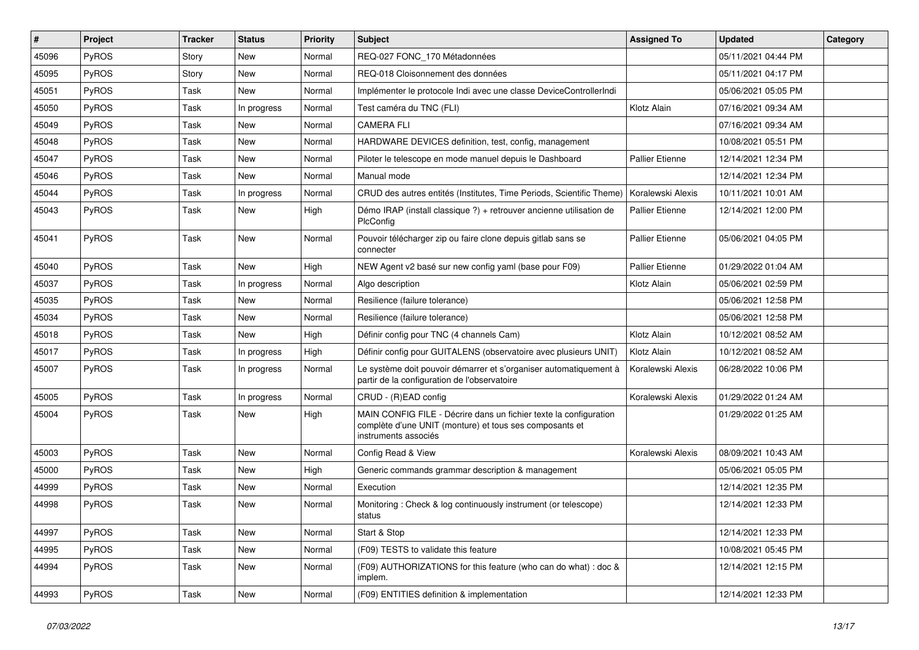| #     | Project      | Tracker | <b>Status</b> | <b>Priority</b> | <b>Subject</b>                                                                                                                                       | <b>Assigned To</b>     | <b>Updated</b>      | Category |
|-------|--------------|---------|---------------|-----------------|------------------------------------------------------------------------------------------------------------------------------------------------------|------------------------|---------------------|----------|
| 45096 | PyROS        | Story   | <b>New</b>    | Normal          | REQ-027 FONC_170 Métadonnées                                                                                                                         |                        | 05/11/2021 04:44 PM |          |
| 45095 | PyROS        | Story   | New           | Normal          | REQ-018 Cloisonnement des données                                                                                                                    |                        | 05/11/2021 04:17 PM |          |
| 45051 | PyROS        | Task    | New           | Normal          | Implémenter le protocole Indi avec une classe DeviceControllerIndi                                                                                   |                        | 05/06/2021 05:05 PM |          |
| 45050 | PyROS        | Task    | In progress   | Normal          | Test caméra du TNC (FLI)                                                                                                                             | Klotz Alain            | 07/16/2021 09:34 AM |          |
| 45049 | PyROS        | Task    | <b>New</b>    | Normal          | <b>CAMERA FLI</b>                                                                                                                                    |                        | 07/16/2021 09:34 AM |          |
| 45048 | PyROS        | Task    | New           | Normal          | HARDWARE DEVICES definition, test, config, management                                                                                                |                        | 10/08/2021 05:51 PM |          |
| 45047 | PyROS        | Task    | <b>New</b>    | Normal          | Piloter le telescope en mode manuel depuis le Dashboard                                                                                              | <b>Pallier Etienne</b> | 12/14/2021 12:34 PM |          |
| 45046 | PyROS        | Task    | New           | Normal          | Manual mode                                                                                                                                          |                        | 12/14/2021 12:34 PM |          |
| 45044 | PyROS        | Task    | In progress   | Normal          | CRUD des autres entités (Institutes, Time Periods, Scientific Theme)                                                                                 | Koralewski Alexis      | 10/11/2021 10:01 AM |          |
| 45043 | PyROS        | Task    | New           | High            | Démo IRAP (install classique ?) + retrouver ancienne utilisation de<br>PlcConfig                                                                     | Pallier Etienne        | 12/14/2021 12:00 PM |          |
| 45041 | PyROS        | Task    | New           | Normal          | Pouvoir télécharger zip ou faire clone depuis gitlab sans se<br>connecter                                                                            | <b>Pallier Etienne</b> | 05/06/2021 04:05 PM |          |
| 45040 | PyROS        | Task    | New           | High            | NEW Agent v2 basé sur new config yaml (base pour F09)                                                                                                | <b>Pallier Etienne</b> | 01/29/2022 01:04 AM |          |
| 45037 | PyROS        | Task    | In progress   | Normal          | Algo description                                                                                                                                     | Klotz Alain            | 05/06/2021 02:59 PM |          |
| 45035 | PyROS        | Task    | New           | Normal          | Resilience (failure tolerance)                                                                                                                       |                        | 05/06/2021 12:58 PM |          |
| 45034 | PyROS        | Task    | New           | Normal          | Resilience (failure tolerance)                                                                                                                       |                        | 05/06/2021 12:58 PM |          |
| 45018 | PyROS        | Task    | New           | High            | Définir config pour TNC (4 channels Cam)                                                                                                             | Klotz Alain            | 10/12/2021 08:52 AM |          |
| 45017 | <b>PyROS</b> | Task    | In progress   | High            | Définir config pour GUITALENS (observatoire avec plusieurs UNIT)                                                                                     | Klotz Alain            | 10/12/2021 08:52 AM |          |
| 45007 | PyROS        | Task    | In progress   | Normal          | Le système doit pouvoir démarrer et s'organiser automatiquement à<br>partir de la configuration de l'observatoire                                    | Koralewski Alexis      | 06/28/2022 10:06 PM |          |
| 45005 | PyROS        | Task    | In progress   | Normal          | CRUD - (R)EAD config                                                                                                                                 | Koralewski Alexis      | 01/29/2022 01:24 AM |          |
| 45004 | PyROS        | Task    | New           | High            | MAIN CONFIG FILE - Décrire dans un fichier texte la configuration<br>complète d'une UNIT (monture) et tous ses composants et<br>instruments associés |                        | 01/29/2022 01:25 AM |          |
| 45003 | PyROS        | Task    | <b>New</b>    | Normal          | Config Read & View                                                                                                                                   | Koralewski Alexis      | 08/09/2021 10:43 AM |          |
| 45000 | PyROS        | Task    | New           | High            | Generic commands grammar description & management                                                                                                    |                        | 05/06/2021 05:05 PM |          |
| 44999 | PyROS        | Task    | New           | Normal          | Execution                                                                                                                                            |                        | 12/14/2021 12:35 PM |          |
| 44998 | PyROS        | Task    | <b>New</b>    | Normal          | Monitoring: Check & log continuously instrument (or telescope)<br>status                                                                             |                        | 12/14/2021 12:33 PM |          |
| 44997 | PyROS        | Task    | New           | Normal          | Start & Stop                                                                                                                                         |                        | 12/14/2021 12:33 PM |          |
| 44995 | PyROS        | Task    | New           | Normal          | (F09) TESTS to validate this feature                                                                                                                 |                        | 10/08/2021 05:45 PM |          |
| 44994 | PyROS        | Task    | New           | Normal          | (F09) AUTHORIZATIONS for this feature (who can do what) : doc &<br>implem.                                                                           |                        | 12/14/2021 12:15 PM |          |
| 44993 | PyROS        | Task    | New           | Normal          | (F09) ENTITIES definition & implementation                                                                                                           |                        | 12/14/2021 12:33 PM |          |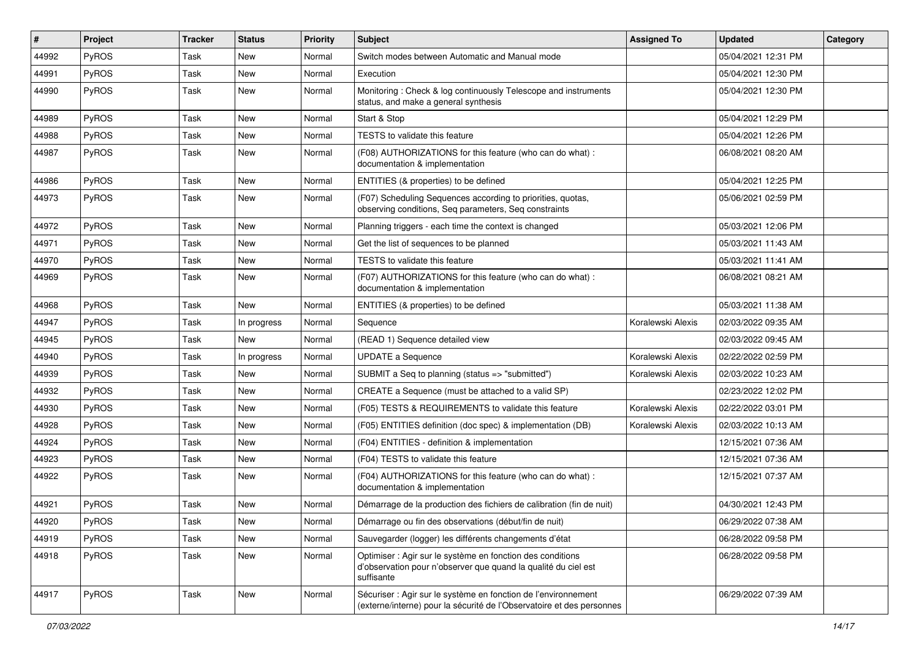| #     | Project      | <b>Tracker</b> | <b>Status</b> | <b>Priority</b> | Subject                                                                                                                                    | <b>Assigned To</b> | <b>Updated</b>      | Category |
|-------|--------------|----------------|---------------|-----------------|--------------------------------------------------------------------------------------------------------------------------------------------|--------------------|---------------------|----------|
| 44992 | <b>PyROS</b> | Task           | <b>New</b>    | Normal          | Switch modes between Automatic and Manual mode                                                                                             |                    | 05/04/2021 12:31 PM |          |
| 44991 | PyROS        | Task           | <b>New</b>    | Normal          | Execution                                                                                                                                  |                    | 05/04/2021 12:30 PM |          |
| 44990 | <b>PyROS</b> | Task           | New           | Normal          | Monitoring: Check & log continuously Telescope and instruments<br>status, and make a general synthesis                                     |                    | 05/04/2021 12:30 PM |          |
| 44989 | <b>PyROS</b> | Task           | <b>New</b>    | Normal          | Start & Stop                                                                                                                               |                    | 05/04/2021 12:29 PM |          |
| 44988 | <b>PyROS</b> | Task           | New           | Normal          | <b>TESTS</b> to validate this feature                                                                                                      |                    | 05/04/2021 12:26 PM |          |
| 44987 | <b>PyROS</b> | Task           | New           | Normal          | (F08) AUTHORIZATIONS for this feature (who can do what) :<br>documentation & implementation                                                |                    | 06/08/2021 08:20 AM |          |
| 44986 | <b>PyROS</b> | Task           | <b>New</b>    | Normal          | ENTITIES (& properties) to be defined                                                                                                      |                    | 05/04/2021 12:25 PM |          |
| 44973 | <b>PyROS</b> | Task           | New           | Normal          | (F07) Scheduling Sequences according to priorities, quotas,<br>observing conditions, Seq parameters, Seq constraints                       |                    | 05/06/2021 02:59 PM |          |
| 44972 | <b>PyROS</b> | Task           | <b>New</b>    | Normal          | Planning triggers - each time the context is changed                                                                                       |                    | 05/03/2021 12:06 PM |          |
| 44971 | <b>PyROS</b> | Task           | <b>New</b>    | Normal          | Get the list of sequences to be planned                                                                                                    |                    | 05/03/2021 11:43 AM |          |
| 44970 | PyROS        | Task           | New           | Normal          | TESTS to validate this feature                                                                                                             |                    | 05/03/2021 11:41 AM |          |
| 44969 | <b>PyROS</b> | Task           | New           | Normal          | (F07) AUTHORIZATIONS for this feature (who can do what) :<br>documentation & implementation                                                |                    | 06/08/2021 08:21 AM |          |
| 44968 | <b>PyROS</b> | Task           | <b>New</b>    | Normal          | ENTITIES (& properties) to be defined                                                                                                      |                    | 05/03/2021 11:38 AM |          |
| 44947 | <b>PyROS</b> | Task           | In progress   | Normal          | Sequence                                                                                                                                   | Koralewski Alexis  | 02/03/2022 09:35 AM |          |
| 44945 | <b>PyROS</b> | Task           | New           | Normal          | (READ 1) Sequence detailed view                                                                                                            |                    | 02/03/2022 09:45 AM |          |
| 44940 | <b>PyROS</b> | Task           | In progress   | Normal          | <b>UPDATE a Sequence</b>                                                                                                                   | Koralewski Alexis  | 02/22/2022 02:59 PM |          |
| 44939 | <b>PyROS</b> | Task           | <b>New</b>    | Normal          | SUBMIT a Seq to planning (status => "submitted")                                                                                           | Koralewski Alexis  | 02/03/2022 10:23 AM |          |
| 44932 | <b>PyROS</b> | Task           | New           | Normal          | CREATE a Sequence (must be attached to a valid SP)                                                                                         |                    | 02/23/2022 12:02 PM |          |
| 44930 | <b>PyROS</b> | Task           | <b>New</b>    | Normal          | (F05) TESTS & REQUIREMENTS to validate this feature                                                                                        | Koralewski Alexis  | 02/22/2022 03:01 PM |          |
| 44928 | <b>PyROS</b> | Task           | New           | Normal          | (F05) ENTITIES definition (doc spec) & implementation (DB)                                                                                 | Koralewski Alexis  | 02/03/2022 10:13 AM |          |
| 44924 | <b>PyROS</b> | Task           | New           | Normal          | (F04) ENTITIES - definition & implementation                                                                                               |                    | 12/15/2021 07:36 AM |          |
| 44923 | <b>PyROS</b> | Task           | New           | Normal          | (F04) TESTS to validate this feature                                                                                                       |                    | 12/15/2021 07:36 AM |          |
| 44922 | PyROS        | Task           | New           | Normal          | (F04) AUTHORIZATIONS for this feature (who can do what) :<br>documentation & implementation                                                |                    | 12/15/2021 07:37 AM |          |
| 44921 | PyROS        | Task           | New           | Normal          | Démarrage de la production des fichiers de calibration (fin de nuit)                                                                       |                    | 04/30/2021 12:43 PM |          |
| 44920 | PyROS        | Task           | New           | Normal          | Démarrage ou fin des observations (début/fin de nuit)                                                                                      |                    | 06/29/2022 07:38 AM |          |
| 44919 | PyROS        | Task           | New           | Normal          | Sauvegarder (logger) les différents changements d'état                                                                                     |                    | 06/28/2022 09:58 PM |          |
| 44918 | PyROS        | Task           | New           | Normal          | Optimiser : Agir sur le système en fonction des conditions<br>d'observation pour n'observer que quand la qualité du ciel est<br>suffisante |                    | 06/28/2022 09:58 PM |          |
| 44917 | PyROS        | Task           | New           | Normal          | Sécuriser : Agir sur le système en fonction de l'environnement<br>(externe/interne) pour la sécurité de l'Observatoire et des personnes    |                    | 06/29/2022 07:39 AM |          |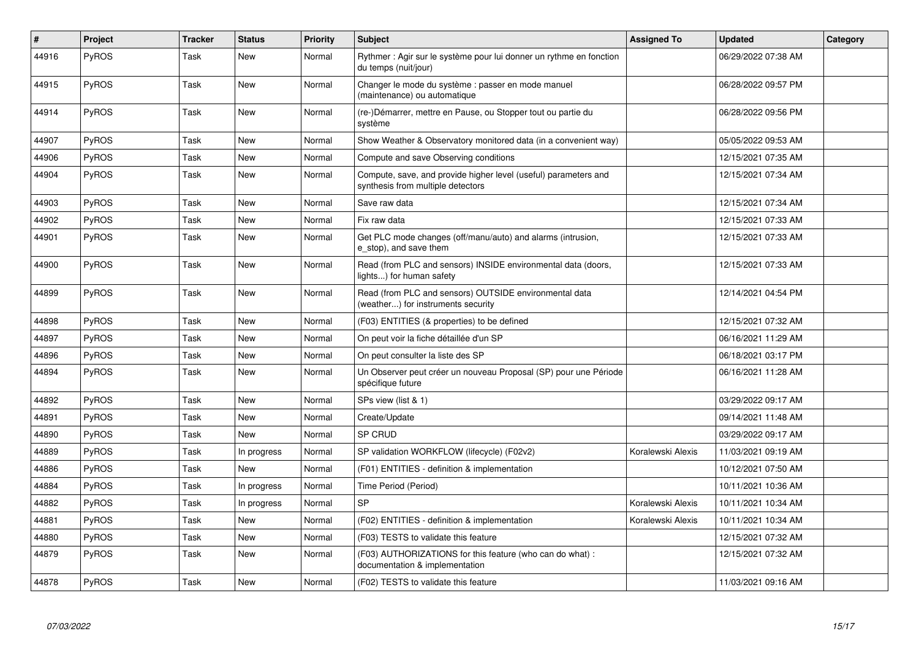| #     | Project      | <b>Tracker</b> | <b>Status</b> | <b>Priority</b> | <b>Subject</b>                                                                                       | <b>Assigned To</b> | <b>Updated</b>      | Category |
|-------|--------------|----------------|---------------|-----------------|------------------------------------------------------------------------------------------------------|--------------------|---------------------|----------|
| 44916 | <b>PyROS</b> | Task           | New           | Normal          | Rythmer: Agir sur le système pour lui donner un rythme en fonction<br>du temps (nuit/jour)           |                    | 06/29/2022 07:38 AM |          |
| 44915 | PyROS        | Task           | <b>New</b>    | Normal          | Changer le mode du système : passer en mode manuel<br>(maintenance) ou automatique                   |                    | 06/28/2022 09:57 PM |          |
| 44914 | <b>PyROS</b> | Task           | <b>New</b>    | Normal          | (re-)Démarrer, mettre en Pause, ou Stopper tout ou partie du<br>système                              |                    | 06/28/2022 09:56 PM |          |
| 44907 | PyROS        | Task           | <b>New</b>    | Normal          | Show Weather & Observatory monitored data (in a convenient way)                                      |                    | 05/05/2022 09:53 AM |          |
| 44906 | PyROS        | Task           | <b>New</b>    | Normal          | Compute and save Observing conditions                                                                |                    | 12/15/2021 07:35 AM |          |
| 44904 | <b>PyROS</b> | Task           | New           | Normal          | Compute, save, and provide higher level (useful) parameters and<br>synthesis from multiple detectors |                    | 12/15/2021 07:34 AM |          |
| 44903 | PyROS        | Task           | <b>New</b>    | Normal          | Save raw data                                                                                        |                    | 12/15/2021 07:34 AM |          |
| 44902 | <b>PyROS</b> | Task           | <b>New</b>    | Normal          | Fix raw data                                                                                         |                    | 12/15/2021 07:33 AM |          |
| 44901 | <b>PyROS</b> | Task           | <b>New</b>    | Normal          | Get PLC mode changes (off/manu/auto) and alarms (intrusion,<br>e stop), and save them                |                    | 12/15/2021 07:33 AM |          |
| 44900 | <b>PyROS</b> | Task           | <b>New</b>    | Normal          | Read (from PLC and sensors) INSIDE environmental data (doors,<br>lights) for human safety            |                    | 12/15/2021 07:33 AM |          |
| 44899 | <b>PyROS</b> | Task           | <b>New</b>    | Normal          | Read (from PLC and sensors) OUTSIDE environmental data<br>(weather) for instruments security         |                    | 12/14/2021 04:54 PM |          |
| 44898 | <b>PyROS</b> | Task           | <b>New</b>    | Normal          | (F03) ENTITIES (& properties) to be defined                                                          |                    | 12/15/2021 07:32 AM |          |
| 44897 | PyROS        | Task           | <b>New</b>    | Normal          | On peut voir la fiche détaillée d'un SP                                                              |                    | 06/16/2021 11:29 AM |          |
| 44896 | <b>PyROS</b> | Task           | New           | Normal          | On peut consulter la liste des SP                                                                    |                    | 06/18/2021 03:17 PM |          |
| 44894 | <b>PyROS</b> | Task           | <b>New</b>    | Normal          | Un Observer peut créer un nouveau Proposal (SP) pour une Période<br>spécifique future                |                    | 06/16/2021 11:28 AM |          |
| 44892 | <b>PyROS</b> | Task           | <b>New</b>    | Normal          | SPs view (list & 1)                                                                                  |                    | 03/29/2022 09:17 AM |          |
| 44891 | <b>PyROS</b> | Task           | <b>New</b>    | Normal          | Create/Update                                                                                        |                    | 09/14/2021 11:48 AM |          |
| 44890 | <b>PyROS</b> | Task           | New           | Normal          | SP CRUD                                                                                              |                    | 03/29/2022 09:17 AM |          |
| 44889 | PyROS        | Task           | In progress   | Normal          | SP validation WORKFLOW (lifecycle) (F02v2)                                                           | Koralewski Alexis  | 11/03/2021 09:19 AM |          |
| 44886 | <b>PyROS</b> | Task           | <b>New</b>    | Normal          | (F01) ENTITIES - definition & implementation                                                         |                    | 10/12/2021 07:50 AM |          |
| 44884 | PyROS        | Task           | In progress   | Normal          | Time Period (Period)                                                                                 |                    | 10/11/2021 10:36 AM |          |
| 44882 | <b>PyROS</b> | Task           | In progress   | Normal          | <b>SP</b>                                                                                            | Koralewski Alexis  | 10/11/2021 10:34 AM |          |
| 44881 | <b>PyROS</b> | Task           | <b>New</b>    | Normal          | (F02) ENTITIES - definition & implementation                                                         | Koralewski Alexis  | 10/11/2021 10:34 AM |          |
| 44880 | <b>PyROS</b> | Task           | <b>New</b>    | Normal          | (F03) TESTS to validate this feature                                                                 |                    | 12/15/2021 07:32 AM |          |
| 44879 | <b>PyROS</b> | Task           | <b>New</b>    | Normal          | (F03) AUTHORIZATIONS for this feature (who can do what) :<br>documentation & implementation          |                    | 12/15/2021 07:32 AM |          |
| 44878 | <b>PyROS</b> | Task           | <b>New</b>    | Normal          | (F02) TESTS to validate this feature                                                                 |                    | 11/03/2021 09:16 AM |          |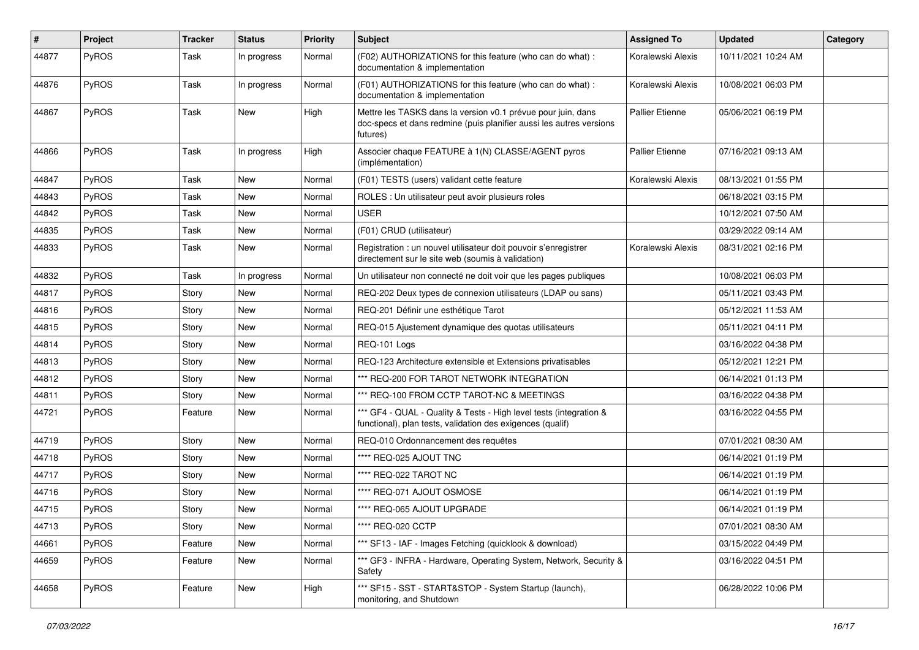| #     | Project      | <b>Tracker</b> | <b>Status</b> | <b>Priority</b> | <b>Subject</b>                                                                                                                                  | <b>Assigned To</b>     | <b>Updated</b>      | Category |
|-------|--------------|----------------|---------------|-----------------|-------------------------------------------------------------------------------------------------------------------------------------------------|------------------------|---------------------|----------|
| 44877 | PyROS        | Task           | In progress   | Normal          | (F02) AUTHORIZATIONS for this feature (who can do what) :<br>documentation & implementation                                                     | Koralewski Alexis      | 10/11/2021 10:24 AM |          |
| 44876 | PyROS        | Task           | In progress   | Normal          | (F01) AUTHORIZATIONS for this feature (who can do what) :<br>documentation & implementation                                                     | Koralewski Alexis      | 10/08/2021 06:03 PM |          |
| 44867 | PyROS        | Task           | New           | High            | Mettre les TASKS dans la version v0.1 prévue pour juin, dans<br>doc-specs et dans redmine (puis planifier aussi les autres versions<br>futures) | <b>Pallier Etienne</b> | 05/06/2021 06:19 PM |          |
| 44866 | PyROS        | Task           | In progress   | High            | Associer chaque FEATURE à 1(N) CLASSE/AGENT pyros<br>(implémentation)                                                                           | <b>Pallier Etienne</b> | 07/16/2021 09:13 AM |          |
| 44847 | <b>PyROS</b> | Task           | <b>New</b>    | Normal          | (F01) TESTS (users) validant cette feature                                                                                                      | Koralewski Alexis      | 08/13/2021 01:55 PM |          |
| 44843 | PyROS        | Task           | New           | Normal          | ROLES : Un utilisateur peut avoir plusieurs roles                                                                                               |                        | 06/18/2021 03:15 PM |          |
| 44842 | PyROS        | Task           | New           | Normal          | <b>USER</b>                                                                                                                                     |                        | 10/12/2021 07:50 AM |          |
| 44835 | PyROS        | Task           | New           | Normal          | (F01) CRUD (utilisateur)                                                                                                                        |                        | 03/29/2022 09:14 AM |          |
| 44833 | <b>PyROS</b> | Task           | New           | Normal          | Registration : un nouvel utilisateur doit pouvoir s'enregistrer<br>directement sur le site web (soumis à validation)                            | Koralewski Alexis      | 08/31/2021 02:16 PM |          |
| 44832 | PyROS        | Task           | In progress   | Normal          | Un utilisateur non connecté ne doit voir que les pages publiques                                                                                |                        | 10/08/2021 06:03 PM |          |
| 44817 | PyROS        | Story          | New           | Normal          | REQ-202 Deux types de connexion utilisateurs (LDAP ou sans)                                                                                     |                        | 05/11/2021 03:43 PM |          |
| 44816 | PyROS        | Story          | New           | Normal          | REQ-201 Définir une esthétique Tarot                                                                                                            |                        | 05/12/2021 11:53 AM |          |
| 44815 | <b>PyROS</b> | Story          | New           | Normal          | REQ-015 Ajustement dynamique des quotas utilisateurs                                                                                            |                        | 05/11/2021 04:11 PM |          |
| 44814 | PyROS        | Story          | New           | Normal          | REQ-101 Logs                                                                                                                                    |                        | 03/16/2022 04:38 PM |          |
| 44813 | PyROS        | Story          | New           | Normal          | REQ-123 Architecture extensible et Extensions privatisables                                                                                     |                        | 05/12/2021 12:21 PM |          |
| 44812 | <b>PyROS</b> | Story          | New           | Normal          | *** REQ-200 FOR TAROT NETWORK INTEGRATION                                                                                                       |                        | 06/14/2021 01:13 PM |          |
| 44811 | PyROS        | Story          | New           | Normal          | *** REQ-100 FROM CCTP TAROT-NC & MEETINGS                                                                                                       |                        | 03/16/2022 04:38 PM |          |
| 44721 | <b>PyROS</b> | Feature        | New           | Normal          | *** GF4 - QUAL - Quality & Tests - High level tests (integration &<br>functional), plan tests, validation des exigences (qualif)                |                        | 03/16/2022 04:55 PM |          |
| 44719 | PyROS        | Story          | New           | Normal          | REQ-010 Ordonnancement des requêtes                                                                                                             |                        | 07/01/2021 08:30 AM |          |
| 44718 | PyROS        | Story          | New           | Normal          | **** REQ-025 AJOUT TNC                                                                                                                          |                        | 06/14/2021 01:19 PM |          |
| 44717 | PyROS        | Story          | New           | Normal          | **** REQ-022 TAROT NC                                                                                                                           |                        | 06/14/2021 01:19 PM |          |
| 44716 | PyROS        | Story          | New           | Normal          | **** REQ-071 AJOUT OSMOSE                                                                                                                       |                        | 06/14/2021 01:19 PM |          |
| 44715 | PyROS        | Story          | New           | Normal          | **** REQ-065 AJOUT UPGRADE                                                                                                                      |                        | 06/14/2021 01:19 PM |          |
| 44713 | PyROS        | Story          | New           | Normal          | **** REQ-020 CCTP                                                                                                                               |                        | 07/01/2021 08:30 AM |          |
| 44661 | <b>PyROS</b> | Feature        | New           | Normal          | *** SF13 - IAF - Images Fetching (quicklook & download)                                                                                         |                        | 03/15/2022 04:49 PM |          |
| 44659 | PyROS        | Feature        | New           | Normal          | *** GF3 - INFRA - Hardware, Operating System, Network, Security &<br>Safety                                                                     |                        | 03/16/2022 04:51 PM |          |
| 44658 | <b>PyROS</b> | Feature        | New           | High            | *** SF15 - SST - START&STOP - System Startup (launch),<br>monitoring, and Shutdown                                                              |                        | 06/28/2022 10:06 PM |          |